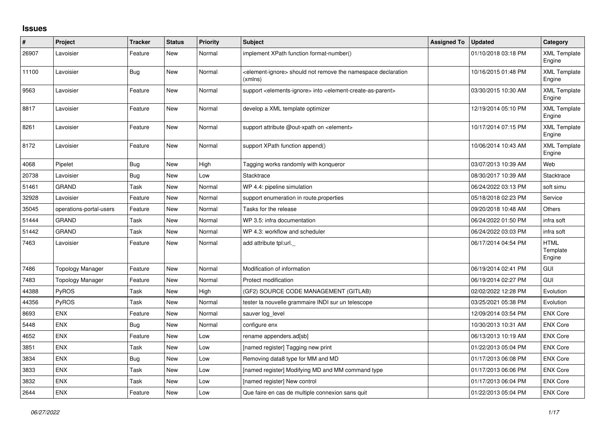## **Issues**

| #     | Project                 | <b>Tracker</b> | <b>Status</b> | Priority | Subject                                                                                                | <b>Assigned To</b> | <b>Updated</b>      | Category                          |
|-------|-------------------------|----------------|---------------|----------|--------------------------------------------------------------------------------------------------------|--------------------|---------------------|-----------------------------------|
| 26907 | Lavoisier               | Feature        | <b>New</b>    | Normal   | implement XPath function format-number()                                                               |                    | 01/10/2018 03:18 PM | <b>XML Template</b><br>Engine     |
| 11100 | Lavoisier               | <b>Bug</b>     | New           | Normal   | <element-ignore> should not remove the namespace declaration<br/>(xmlns)</element-ignore>              |                    | 10/16/2015 01:48 PM | <b>XML Template</b><br>Engine     |
| 9563  | Lavoisier               | Feature        | New           | Normal   | support <elements-ignore> into <element-create-as-parent></element-create-as-parent></elements-ignore> |                    | 03/30/2015 10:30 AM | <b>XML Template</b><br>Engine     |
| 8817  | Lavoisier               | Feature        | <b>New</b>    | Normal   | develop a XML template optimizer                                                                       |                    | 12/19/2014 05:10 PM | <b>XML Template</b><br>Engine     |
| 8261  | Lavoisier               | Feature        | New           | Normal   | support attribute @out-xpath on <element></element>                                                    |                    | 10/17/2014 07:15 PM | <b>XML Template</b><br>Engine     |
| 8172  | Lavoisier               | Feature        | New           | Normal   | support XPath function append()                                                                        |                    | 10/06/2014 10:43 AM | <b>XML Template</b><br>Engine     |
| 4068  | Pipelet                 | <b>Bug</b>     | New           | High     | Tagging works randomly with konqueror                                                                  |                    | 03/07/2013 10:39 AM | Web                               |
| 20738 | Lavoisier               | Bug            | New           | Low      | Stacktrace                                                                                             |                    | 08/30/2017 10:39 AM | Stacktrace                        |
| 51461 | GRAND                   | Task           | <b>New</b>    | Normal   | WP 4.4: pipeline simulation                                                                            |                    | 06/24/2022 03:13 PM | soft simu                         |
| 32928 | Lavoisier               | Feature        | New           | Normal   | support enumeration in route properties                                                                |                    | 05/18/2018 02:23 PM | Service                           |
| 35045 | operations-portal-users | Feature        | <b>New</b>    | Normal   | Tasks for the release                                                                                  |                    | 09/20/2018 10:48 AM | Others                            |
| 51444 | GRAND                   | Task           | <b>New</b>    | Normal   | WP 3.5: infra documentation                                                                            |                    | 06/24/2022 01:50 PM | infra soft                        |
| 51442 | GRAND                   | Task           | New           | Normal   | WP 4.3: workflow and scheduler                                                                         |                    | 06/24/2022 03:03 PM | infra soft                        |
| 7463  | Lavoisier               | Feature        | <b>New</b>    | Normal   | add attribute tpl:url.                                                                                 |                    | 06/17/2014 04:54 PM | <b>HTML</b><br>Template<br>Engine |
| 7486  | <b>Topology Manager</b> | Feature        | <b>New</b>    | Normal   | Modification of information                                                                            |                    | 06/19/2014 02:41 PM | GUI                               |
| 7483  | Topology Manager        | Feature        | <b>New</b>    | Normal   | Protect modification                                                                                   |                    | 06/19/2014 02:27 PM | <b>GUI</b>                        |
| 44388 | PyROS                   | Task           | New           | High     | (GF2) SOURCE CODE MANAGEMENT (GITLAB)                                                                  |                    | 02/02/2022 12:28 PM | Evolution                         |
| 44356 | PyROS                   | Task           | <b>New</b>    | Normal   | tester la nouvelle grammaire INDI sur un telescope                                                     |                    | 03/25/2021 05:38 PM | Evolution                         |
| 8693  | <b>ENX</b>              | Feature        | New           | Normal   | sauver log_level                                                                                       |                    | 12/09/2014 03:54 PM | <b>ENX Core</b>                   |
| 5448  | <b>ENX</b>              | Bug            | <b>New</b>    | Normal   | configure enx                                                                                          |                    | 10/30/2013 10:31 AM | <b>ENX Core</b>                   |
| 4652  | <b>ENX</b>              | Feature        | <b>New</b>    | Low      | rename appenders.ad[sb]                                                                                |                    | 06/13/2013 10:19 AM | <b>ENX Core</b>                   |
| 3851  | <b>ENX</b>              | Task           | New           | Low      | [named register] Tagging new print                                                                     |                    | 01/22/2013 05:04 PM | <b>ENX Core</b>                   |
| 3834  | <b>ENX</b>              | Bug            | <b>New</b>    | Low      | Removing data8 type for MM and MD                                                                      |                    | 01/17/2013 06:08 PM | <b>ENX Core</b>                   |
| 3833  | <b>ENX</b>              | Task           | <b>New</b>    | Low      | [named register] Modifying MD and MM command type                                                      |                    | 01/17/2013 06:06 PM | <b>ENX Core</b>                   |
| 3832  | <b>ENX</b>              | Task           | <b>New</b>    | Low      | [named register] New control                                                                           |                    | 01/17/2013 06:04 PM | <b>ENX Core</b>                   |
| 2644  | ENX                     | Feature        | <b>New</b>    | Low      | Que faire en cas de multiple connexion sans quit                                                       |                    | 01/22/2013 05:04 PM | <b>ENX Core</b>                   |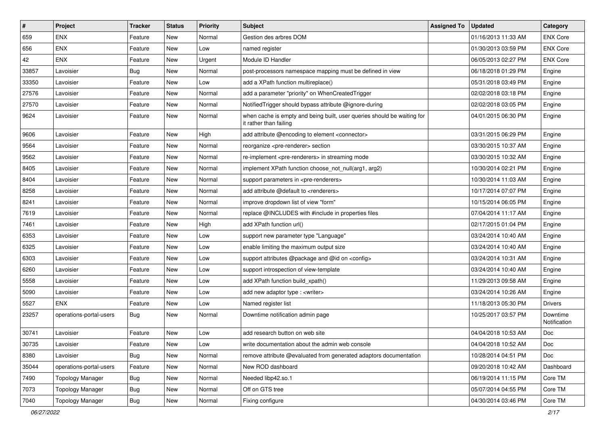| $\vert$ # | Project                 | <b>Tracker</b> | <b>Status</b> | <b>Priority</b> | <b>Subject</b>                                                                                    | <b>Assigned To</b> | <b>Updated</b>      | Category                 |
|-----------|-------------------------|----------------|---------------|-----------------|---------------------------------------------------------------------------------------------------|--------------------|---------------------|--------------------------|
| 659       | <b>ENX</b>              | Feature        | <b>New</b>    | Normal          | Gestion des arbres DOM                                                                            |                    | 01/16/2013 11:33 AM | <b>ENX Core</b>          |
| 656       | <b>ENX</b>              | Feature        | <b>New</b>    | Low             | named register                                                                                    |                    | 01/30/2013 03:59 PM | <b>ENX Core</b>          |
| 42        | ENX                     | Feature        | New           | Urgent          | Module ID Handler                                                                                 |                    | 06/05/2013 02:27 PM | <b>ENX Core</b>          |
| 33857     | Lavoisier               | Bug            | <b>New</b>    | Normal          | post-processors namespace mapping must be defined in view                                         |                    | 06/18/2018 01:29 PM | Engine                   |
| 33350     | Lavoisier               | Feature        | <b>New</b>    | Low             | add a XPath function multireplace()                                                               |                    | 05/31/2018 03:49 PM | Engine                   |
| 27576     | Lavoisier               | Feature        | <b>New</b>    | Normal          | add a parameter "priority" on WhenCreatedTrigger                                                  |                    | 02/02/2018 03:18 PM | Engine                   |
| 27570     | Lavoisier               | Feature        | <b>New</b>    | Normal          | Notified Trigger should bypass attribute @ignore-during                                           |                    | 02/02/2018 03:05 PM | Engine                   |
| 9624      | Lavoisier               | Feature        | New           | Normal          | when cache is empty and being built, user queries should be waiting for<br>it rather than failing |                    | 04/01/2015 06:30 PM | Engine                   |
| 9606      | Lavoisier               | Feature        | New           | High            | add attribute @encoding to element <connector></connector>                                        |                    | 03/31/2015 06:29 PM | Engine                   |
| 9564      | Lavoisier               | Feature        | <b>New</b>    | Normal          | reorganize <pre-renderer> section</pre-renderer>                                                  |                    | 03/30/2015 10:37 AM | Engine                   |
| 9562      | Lavoisier               | Feature        | <b>New</b>    | Normal          | re-implement <pre-renderers> in streaming mode</pre-renderers>                                    |                    | 03/30/2015 10:32 AM | Engine                   |
| 8405      | Lavoisier               | Feature        | <b>New</b>    | Normal          | implement XPath function choose not null(arg1, arg2)                                              |                    | 10/30/2014 02:21 PM | Engine                   |
| 8404      | Lavoisier               | Feature        | <b>New</b>    | Normal          | support parameters in <pre-renderers></pre-renderers>                                             |                    | 10/30/2014 11:03 AM | Engine                   |
| 8258      | Lavoisier               | Feature        | <b>New</b>    | Normal          | add attribute @default to <renderers></renderers>                                                 |                    | 10/17/2014 07:07 PM | Engine                   |
| 8241      | Lavoisier               | Feature        | New           | Normal          | improve dropdown list of view "form"                                                              |                    | 10/15/2014 06:05 PM | Engine                   |
| 7619      | Lavoisier               | Feature        | New           | Normal          | replace @INCLUDES with #include in properties files                                               |                    | 07/04/2014 11:17 AM | Engine                   |
| 7461      | Lavoisier               | Feature        | <b>New</b>    | High            | add XPath function url()                                                                          |                    | 02/17/2015 01:04 PM | Engine                   |
| 6353      | Lavoisier               | Feature        | New           | Low             | support new parameter type "Language"                                                             |                    | 03/24/2014 10:40 AM | Engine                   |
| 6325      | Lavoisier               | Feature        | <b>New</b>    | Low             | enable limiting the maximum output size                                                           |                    | 03/24/2014 10:40 AM | Engine                   |
| 6303      | Lavoisier               | Feature        | New           | Low             | support attributes @package and @id on <config></config>                                          |                    | 03/24/2014 10:31 AM | Engine                   |
| 6260      | Lavoisier               | Feature        | <b>New</b>    | Low             | support introspection of view-template                                                            |                    | 03/24/2014 10:40 AM | Engine                   |
| 5558      | Lavoisier               | Feature        | <b>New</b>    | Low             | add XPath function build_xpath()                                                                  |                    | 11/29/2013 09:58 AM | Engine                   |
| 5090      | Lavoisier               | Feature        | New           | Low             | add new adaptor type : <writer></writer>                                                          |                    | 03/24/2014 10:26 AM | Engine                   |
| 5527      | <b>ENX</b>              | Feature        | <b>New</b>    | Low             | Named register list                                                                               |                    | 11/18/2013 05:30 PM | <b>Drivers</b>           |
| 23257     | operations-portal-users | Bug            | New           | Normal          | Downtime notification admin page                                                                  |                    | 10/25/2017 03:57 PM | Downtime<br>Notification |
| 30741     | Lavoisier               | Feature        | New           | Low             | add research button on web site                                                                   |                    | 04/04/2018 10:53 AM | Doc                      |
| 30735     | Lavoisier               | Feature        | New           | Low             | write documentation about the admin web console                                                   |                    | 04/04/2018 10:52 AM | Doc                      |
| 8380      | Lavoisier               | <b>Bug</b>     | New           | Normal          | remove attribute @evaluated from generated adaptors documentation                                 |                    | 10/28/2014 04:51 PM | Doc                      |
| 35044     | operations-portal-users | Feature        | New           | Normal          | New ROD dashboard                                                                                 |                    | 09/20/2018 10:42 AM | Dashboard                |
| 7490      | <b>Topology Manager</b> | Bug            | New           | Normal          | Needed libp42.so.1                                                                                |                    | 06/19/2014 11:15 PM | Core TM                  |
| 7073      | <b>Topology Manager</b> | <b>Bug</b>     | New           | Normal          | Off on GTS tree                                                                                   |                    | 05/07/2014 04:55 PM | Core TM                  |
| 7040      | <b>Topology Manager</b> | Bug            | New           | Normal          | Fixing configure                                                                                  |                    | 04/30/2014 03:46 PM | Core TM                  |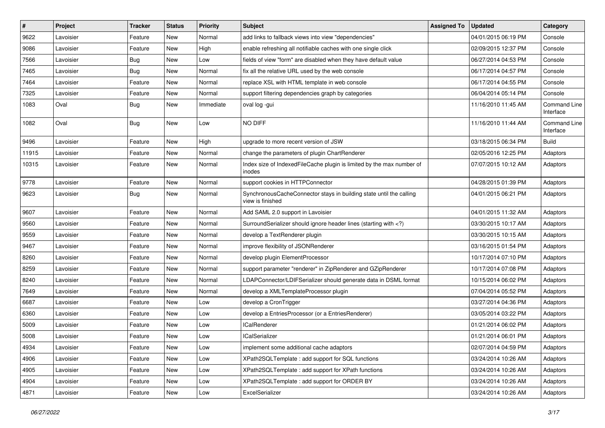| $\sharp$ | Project   | <b>Tracker</b> | <b>Status</b> | <b>Priority</b> | Subject                                                                                                                     | <b>Assigned To</b> | <b>Updated</b>      | Category                         |
|----------|-----------|----------------|---------------|-----------------|-----------------------------------------------------------------------------------------------------------------------------|--------------------|---------------------|----------------------------------|
| 9622     | Lavoisier | Feature        | New           | Normal          | add links to fallback views into view "dependencies"                                                                        |                    | 04/01/2015 06:19 PM | Console                          |
| 9086     | Lavoisier | Feature        | <b>New</b>    | High            | enable refreshing all notifiable caches with one single click                                                               |                    | 02/09/2015 12:37 PM | Console                          |
| 7566     | Lavoisier | <b>Bug</b>     | New           | Low             | fields of view "form" are disabled when they have default value                                                             |                    | 06/27/2014 04:53 PM | Console                          |
| 7465     | Lavoisier | Bug            | New           | Normal          | fix all the relative URL used by the web console                                                                            |                    | 06/17/2014 04:57 PM | Console                          |
| 7464     | Lavoisier | Feature        | <b>New</b>    | Normal          | replace XSL with HTML template in web console                                                                               |                    | 06/17/2014 04:55 PM | Console                          |
| 7325     | Lavoisier | Feature        | New           | Normal          | support filtering dependencies graph by categories                                                                          |                    | 06/04/2014 05:14 PM | Console                          |
| 1083     | Oval      | Bug            | New           | Immediate       | oval log -gui                                                                                                               |                    | 11/16/2010 11:45 AM | Command Line<br>Interface        |
| 1082     | Oval      | Bug            | New           | Low             | NO DIFF                                                                                                                     |                    | 11/16/2010 11:44 AM | <b>Command Line</b><br>Interface |
| 9496     | Lavoisier | Feature        | <b>New</b>    | High            | upgrade to more recent version of JSW                                                                                       |                    | 03/18/2015 06:34 PM | <b>Build</b>                     |
| 11915    | Lavoisier | Feature        | New           | Normal          | change the parameters of plugin ChartRenderer                                                                               |                    | 02/05/2016 12:25 PM | Adaptors                         |
| 10315    | Lavoisier | Feature        | <b>New</b>    | Normal          | Index size of IndexedFileCache plugin is limited by the max number of<br>inodes                                             |                    | 07/07/2015 10:12 AM | Adaptors                         |
| 9778     | Lavoisier | Feature        | <b>New</b>    | Normal          | support cookies in HTTPConnector                                                                                            |                    | 04/28/2015 01:39 PM | Adaptors                         |
| 9623     | Lavoisier | Bug            | New           | Normal          | SynchronousCacheConnector stays in building state until the calling<br>view is finished                                     |                    | 04/01/2015 06:21 PM | Adaptors                         |
| 9607     | Lavoisier | Feature        | <b>New</b>    | Normal          | Add SAML 2.0 support in Lavoisier                                                                                           |                    | 04/01/2015 11:32 AM | Adaptors                         |
| 9560     | Lavoisier | Feature        | New           | Normal          | SurroundSerializer should ignore header lines (starting with )</td <td></td> <td>03/30/2015 10:17 AM</td> <td>Adaptors</td> |                    | 03/30/2015 10:17 AM | Adaptors                         |
| 9559     | Lavoisier | Feature        | New           | Normal          | develop a TextRenderer plugin                                                                                               |                    | 03/30/2015 10:15 AM | Adaptors                         |
| 9467     | Lavoisier | Feature        | <b>New</b>    | Normal          | improve flexibility of JSONRenderer                                                                                         |                    | 03/16/2015 01:54 PM | Adaptors                         |
| 8260     | Lavoisier | Feature        | New           | Normal          | develop plugin ElementProcessor                                                                                             |                    | 10/17/2014 07:10 PM | Adaptors                         |
| 8259     | Lavoisier | Feature        | <b>New</b>    | Normal          | support parameter "renderer" in ZipRenderer and GZipRenderer                                                                |                    | 10/17/2014 07:08 PM | Adaptors                         |
| 8240     | Lavoisier | Feature        | New           | Normal          | LDAPConnector/LDIFSerializer should generate data in DSML format                                                            |                    | 10/15/2014 06:02 PM | Adaptors                         |
| 7649     | Lavoisier | Feature        | <b>New</b>    | Normal          | develop a XMLTemplateProcessor plugin                                                                                       |                    | 07/04/2014 05:52 PM | Adaptors                         |
| 6687     | Lavoisier | Feature        | <b>New</b>    | Low             | develop a CronTrigger                                                                                                       |                    | 03/27/2014 04:36 PM | Adaptors                         |
| 6360     | Lavoisier | Feature        | New           | Low             | develop a EntriesProcessor (or a EntriesRenderer)                                                                           |                    | 03/05/2014 03:22 PM | Adaptors                         |
| 5009     | Lavoisier | Feature        | New           | Low             | <b>ICalRenderer</b>                                                                                                         |                    | 01/21/2014 06:02 PM | Adaptors                         |
| 5008     | Lavoisier | Feature        | New           | Low             | <b>ICalSerializer</b>                                                                                                       |                    | 01/21/2014 06:01 PM | Adaptors                         |
| 4934     | Lavoisier | Feature        | New           | Low             | implement some additional cache adaptors                                                                                    |                    | 02/07/2014 04:59 PM | Adaptors                         |
| 4906     | Lavoisier | Feature        | New           | Low             | XPath2SQLTemplate : add support for SQL functions                                                                           |                    | 03/24/2014 10:26 AM | Adaptors                         |
| 4905     | Lavoisier | Feature        | New           | Low             | XPath2SQLTemplate: add support for XPath functions                                                                          |                    | 03/24/2014 10:26 AM | Adaptors                         |
| 4904     | Lavoisier | Feature        | New           | Low             | XPath2SQLTemplate : add support for ORDER BY                                                                                |                    | 03/24/2014 10:26 AM | Adaptors                         |
| 4871     | Lavoisier | Feature        | New           | Low             | ExcelSerializer                                                                                                             |                    | 03/24/2014 10:26 AM | Adaptors                         |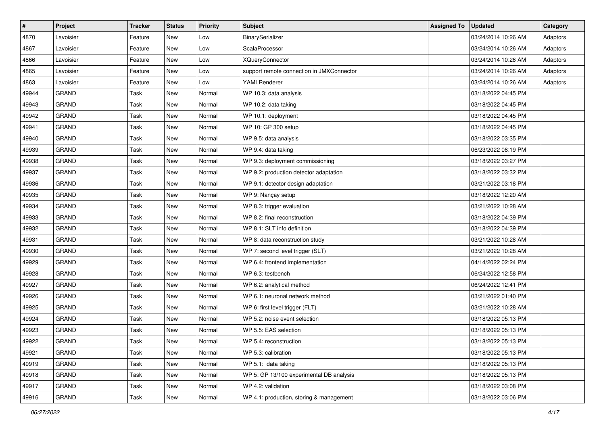| $\vert$ # | Project      | <b>Tracker</b> | <b>Status</b> | <b>Priority</b> | <b>Subject</b>                            | <b>Assigned To</b> | <b>Updated</b>      | Category |
|-----------|--------------|----------------|---------------|-----------------|-------------------------------------------|--------------------|---------------------|----------|
| 4870      | Lavoisier    | Feature        | <b>New</b>    | Low             | BinarySerializer                          |                    | 03/24/2014 10:26 AM | Adaptors |
| 4867      | Lavoisier    | Feature        | <b>New</b>    | Low             | ScalaProcessor                            |                    | 03/24/2014 10:26 AM | Adaptors |
| 4866      | Lavoisier    | Feature        | New           | Low             | <b>XQueryConnector</b>                    |                    | 03/24/2014 10:26 AM | Adaptors |
| 4865      | Lavoisier    | Feature        | New           | Low             | support remote connection in JMXConnector |                    | 03/24/2014 10:26 AM | Adaptors |
| 4863      | Lavoisier    | Feature        | <b>New</b>    | Low             | YAMLRenderer                              |                    | 03/24/2014 10:26 AM | Adaptors |
| 49944     | <b>GRAND</b> | Task           | New           | Normal          | WP 10.3: data analysis                    |                    | 03/18/2022 04:45 PM |          |
| 49943     | <b>GRAND</b> | Task           | <b>New</b>    | Normal          | WP 10.2: data taking                      |                    | 03/18/2022 04:45 PM |          |
| 49942     | <b>GRAND</b> | Task           | New           | Normal          | WP 10.1: deployment                       |                    | 03/18/2022 04:45 PM |          |
| 49941     | <b>GRAND</b> | Task           | New           | Normal          | WP 10: GP 300 setup                       |                    | 03/18/2022 04:45 PM |          |
| 49940     | <b>GRAND</b> | Task           | New           | Normal          | WP 9.5: data analysis                     |                    | 03/18/2022 03:35 PM |          |
| 49939     | <b>GRAND</b> | Task           | New           | Normal          | WP 9.4: data taking                       |                    | 06/23/2022 08:19 PM |          |
| 49938     | <b>GRAND</b> | Task           | <b>New</b>    | Normal          | WP 9.3: deployment commissioning          |                    | 03/18/2022 03:27 PM |          |
| 49937     | <b>GRAND</b> | Task           | <b>New</b>    | Normal          | WP 9.2: production detector adaptation    |                    | 03/18/2022 03:32 PM |          |
| 49936     | <b>GRAND</b> | Task           | <b>New</b>    | Normal          | WP 9.1: detector design adaptation        |                    | 03/21/2022 03:18 PM |          |
| 49935     | <b>GRAND</b> | Task           | <b>New</b>    | Normal          | WP 9: Nançay setup                        |                    | 03/18/2022 12:20 AM |          |
| 49934     | <b>GRAND</b> | Task           | <b>New</b>    | Normal          | WP 8.3: trigger evaluation                |                    | 03/21/2022 10:28 AM |          |
| 49933     | <b>GRAND</b> | Task           | <b>New</b>    | Normal          | WP 8.2: final reconstruction              |                    | 03/18/2022 04:39 PM |          |
| 49932     | <b>GRAND</b> | Task           | <b>New</b>    | Normal          | WP 8.1: SLT info definition               |                    | 03/18/2022 04:39 PM |          |
| 49931     | <b>GRAND</b> | Task           | <b>New</b>    | Normal          | WP 8: data reconstruction study           |                    | 03/21/2022 10:28 AM |          |
| 49930     | <b>GRAND</b> | Task           | <b>New</b>    | Normal          | WP 7: second level trigger (SLT)          |                    | 03/21/2022 10:28 AM |          |
| 49929     | <b>GRAND</b> | Task           | <b>New</b>    | Normal          | WP 6.4: frontend implementation           |                    | 04/14/2022 02:24 PM |          |
| 49928     | <b>GRAND</b> | Task           | <b>New</b>    | Normal          | WP 6.3: testbench                         |                    | 06/24/2022 12:58 PM |          |
| 49927     | <b>GRAND</b> | Task           | <b>New</b>    | Normal          | WP 6.2: analytical method                 |                    | 06/24/2022 12:41 PM |          |
| 49926     | <b>GRAND</b> | Task           | <b>New</b>    | Normal          | WP 6.1: neuronal network method           |                    | 03/21/2022 01:40 PM |          |
| 49925     | <b>GRAND</b> | Task           | <b>New</b>    | Normal          | WP 6: first level trigger (FLT)           |                    | 03/21/2022 10:28 AM |          |
| 49924     | <b>GRAND</b> | Task           | <b>New</b>    | Normal          | WP 5.2: noise event selection             |                    | 03/18/2022 05:13 PM |          |
| 49923     | <b>GRAND</b> | Task           | <b>New</b>    | Normal          | WP 5.5: EAS selection                     |                    | 03/18/2022 05:13 PM |          |
| 49922     | <b>GRAND</b> | Task           | New           | Normal          | WP 5.4: reconstruction                    |                    | 03/18/2022 05:13 PM |          |
| 49921     | <b>GRAND</b> | Task           | New           | Normal          | WP 5.3: calibration                       |                    | 03/18/2022 05:13 PM |          |
| 49919     | <b>GRAND</b> | Task           | New           | Normal          | WP 5.1: data taking                       |                    | 03/18/2022 05:13 PM |          |
| 49918     | GRAND        | Task           | New           | Normal          | WP 5: GP 13/100 experimental DB analysis  |                    | 03/18/2022 05:13 PM |          |
| 49917     | GRAND        | Task           | New           | Normal          | WP 4.2: validation                        |                    | 03/18/2022 03:08 PM |          |
| 49916     | GRAND        | Task           | New           | Normal          | WP 4.1: production, storing & management  |                    | 03/18/2022 03:06 PM |          |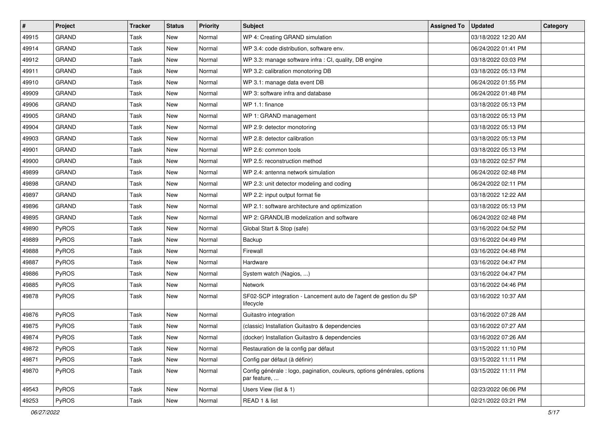| $\vert$ # | Project      | <b>Tracker</b> | <b>Status</b> | <b>Priority</b> | <b>Subject</b>                                                                           | <b>Assigned To</b> | <b>Updated</b>      | Category |
|-----------|--------------|----------------|---------------|-----------------|------------------------------------------------------------------------------------------|--------------------|---------------------|----------|
| 49915     | <b>GRAND</b> | Task           | New           | Normal          | WP 4: Creating GRAND simulation                                                          |                    | 03/18/2022 12:20 AM |          |
| 49914     | <b>GRAND</b> | Task           | New           | Normal          | WP 3.4: code distribution, software env.                                                 |                    | 06/24/2022 01:41 PM |          |
| 49912     | <b>GRAND</b> | Task           | New           | Normal          | WP 3.3: manage software infra : CI, quality, DB engine                                   |                    | 03/18/2022 03:03 PM |          |
| 49911     | <b>GRAND</b> | Task           | New           | Normal          | WP 3.2: calibration monotoring DB                                                        |                    | 03/18/2022 05:13 PM |          |
| 49910     | <b>GRAND</b> | Task           | <b>New</b>    | Normal          | WP 3.1: manage data event DB                                                             |                    | 06/24/2022 01:55 PM |          |
| 49909     | <b>GRAND</b> | Task           | New           | Normal          | WP 3: software infra and database                                                        |                    | 06/24/2022 01:48 PM |          |
| 49906     | <b>GRAND</b> | Task           | <b>New</b>    | Normal          | WP 1.1: finance                                                                          |                    | 03/18/2022 05:13 PM |          |
| 49905     | <b>GRAND</b> | Task           | New           | Normal          | WP 1: GRAND management                                                                   |                    | 03/18/2022 05:13 PM |          |
| 49904     | <b>GRAND</b> | Task           | New           | Normal          | WP 2.9: detector monotoring                                                              |                    | 03/18/2022 05:13 PM |          |
| 49903     | <b>GRAND</b> | Task           | New           | Normal          | WP 2.8: detector calibration                                                             |                    | 03/18/2022 05:13 PM |          |
| 49901     | <b>GRAND</b> | Task           | New           | Normal          | WP 2.6: common tools                                                                     |                    | 03/18/2022 05:13 PM |          |
| 49900     | <b>GRAND</b> | Task           | New           | Normal          | WP 2.5: reconstruction method                                                            |                    | 03/18/2022 02:57 PM |          |
| 49899     | <b>GRAND</b> | Task           | New           | Normal          | WP 2.4: antenna network simulation                                                       |                    | 06/24/2022 02:48 PM |          |
| 49898     | <b>GRAND</b> | Task           | New           | Normal          | WP 2.3: unit detector modeling and coding                                                |                    | 06/24/2022 02:11 PM |          |
| 49897     | <b>GRAND</b> | Task           | New           | Normal          | WP 2.2: input output format fie                                                          |                    | 03/18/2022 12:22 AM |          |
| 49896     | <b>GRAND</b> | Task           | New           | Normal          | WP 2.1: software architecture and optimization                                           |                    | 03/18/2022 05:13 PM |          |
| 49895     | <b>GRAND</b> | Task           | New           | Normal          | WP 2: GRANDLIB modelization and software                                                 |                    | 06/24/2022 02:48 PM |          |
| 49890     | PyROS        | Task           | New           | Normal          | Global Start & Stop (safe)                                                               |                    | 03/16/2022 04:52 PM |          |
| 49889     | PyROS        | Task           | New           | Normal          | Backup                                                                                   |                    | 03/16/2022 04:49 PM |          |
| 49888     | PyROS        | Task           | New           | Normal          | Firewall                                                                                 |                    | 03/16/2022 04:48 PM |          |
| 49887     | PyROS        | Task           | New           | Normal          | Hardware                                                                                 |                    | 03/16/2022 04:47 PM |          |
| 49886     | PyROS        | Task           | New           | Normal          | System watch (Nagios, )                                                                  |                    | 03/16/2022 04:47 PM |          |
| 49885     | PyROS        | Task           | New           | Normal          | Network                                                                                  |                    | 03/16/2022 04:46 PM |          |
| 49878     | PyROS        | Task           | New           | Normal          | SF02-SCP integration - Lancement auto de l'agent de gestion du SP<br>lifecycle           |                    | 03/16/2022 10:37 AM |          |
| 49876     | PyROS        | Task           | New           | Normal          | Guitastro integration                                                                    |                    | 03/16/2022 07:28 AM |          |
| 49875     | PyROS        | Task           | New           | Normal          | (classic) Installation Guitastro & dependencies                                          |                    | 03/16/2022 07:27 AM |          |
| 49874     | PyROS        | Task           | New           | Normal          | (docker) Installation Guitastro & dependencies                                           |                    | 03/16/2022 07:26 AM |          |
| 49872     | PyROS        | Task           | New           | Normal          | Restauration de la config par défaut                                                     |                    | 03/15/2022 11:10 PM |          |
| 49871     | PyROS        | Task           | New           | Normal          | Config par défaut (à définir)                                                            |                    | 03/15/2022 11:11 PM |          |
| 49870     | PyROS        | Task           | New           | Normal          | Config générale : logo, pagination, couleurs, options générales, options<br>par feature, |                    | 03/15/2022 11:11 PM |          |
| 49543     | PyROS        | Task           | New           | Normal          | Users View (list & 1)                                                                    |                    | 02/23/2022 06:06 PM |          |
| 49253     | PyROS        | Task           | New           | Normal          | READ 1 & list                                                                            |                    | 02/21/2022 03:21 PM |          |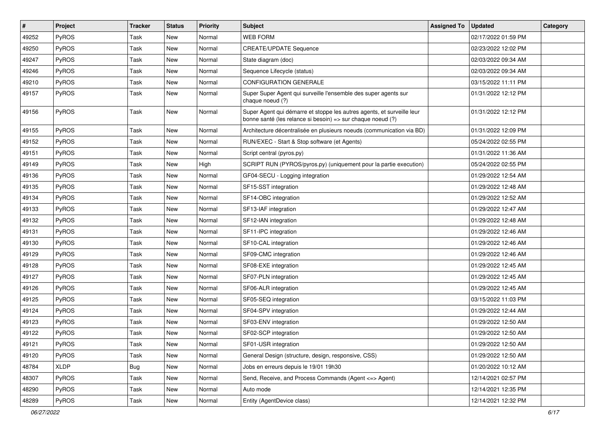| $\vert$ # | Project      | Tracker     | <b>Status</b> | <b>Priority</b> | Subject                                                                                                                               | <b>Assigned To</b> | <b>Updated</b>      | Category |
|-----------|--------------|-------------|---------------|-----------------|---------------------------------------------------------------------------------------------------------------------------------------|--------------------|---------------------|----------|
| 49252     | PyROS        | Task        | <b>New</b>    | Normal          | <b>WEB FORM</b>                                                                                                                       |                    | 02/17/2022 01:59 PM |          |
| 49250     | <b>PyROS</b> | Task        | <b>New</b>    | Normal          | <b>CREATE/UPDATE Sequence</b>                                                                                                         |                    | 02/23/2022 12:02 PM |          |
| 49247     | PyROS        | Task        | <b>New</b>    | Normal          | State diagram (doc)                                                                                                                   |                    | 02/03/2022 09:34 AM |          |
| 49246     | PyROS        | Task        | New           | Normal          | Sequence Lifecycle (status)                                                                                                           |                    | 02/03/2022 09:34 AM |          |
| 49210     | PyROS        | Task        | <b>New</b>    | Normal          | <b>CONFIGURATION GENERALE</b>                                                                                                         |                    | 03/15/2022 11:11 PM |          |
| 49157     | PyROS        | Task        | <b>New</b>    | Normal          | Super Super Agent qui surveille l'ensemble des super agents sur<br>chaque noeud (?)                                                   |                    | 01/31/2022 12:12 PM |          |
| 49156     | PyROS        | Task        | New           | Normal          | Super Agent qui démarre et stoppe les autres agents, et surveille leur<br>bonne santé (les relance si besoin) => sur chaque noeud (?) |                    | 01/31/2022 12:12 PM |          |
| 49155     | PyROS        | <b>Task</b> | New           | Normal          | Architecture décentralisée en plusieurs noeuds (communication via BD)                                                                 |                    | 01/31/2022 12:09 PM |          |
| 49152     | PyROS        | Task        | New           | Normal          | RUN/EXEC - Start & Stop software (et Agents)                                                                                          |                    | 05/24/2022 02:55 PM |          |
| 49151     | PyROS        | Task        | New           | Normal          | Script central (pyros.py)                                                                                                             |                    | 01/31/2022 11:36 AM |          |
| 49149     | PyROS        | Task        | <b>New</b>    | High            | SCRIPT RUN (PYROS/pyros.py) (uniquement pour la partie execution)                                                                     |                    | 05/24/2022 02:55 PM |          |
| 49136     | PyROS        | Task        | <b>New</b>    | Normal          | GF04-SECU - Logging integration                                                                                                       |                    | 01/29/2022 12:54 AM |          |
| 49135     | <b>PyROS</b> | Task        | <b>New</b>    | Normal          | SF15-SST integration                                                                                                                  |                    | 01/29/2022 12:48 AM |          |
| 49134     | PyROS        | Task        | New           | Normal          | SF14-OBC integration                                                                                                                  |                    | 01/29/2022 12:52 AM |          |
| 49133     | PyROS        | Task        | New           | Normal          | SF13-IAF integration                                                                                                                  |                    | 01/29/2022 12:47 AM |          |
| 49132     | PyROS        | Task        | <b>New</b>    | Normal          | SF12-IAN integration                                                                                                                  |                    | 01/29/2022 12:48 AM |          |
| 49131     | <b>PyROS</b> | Task        | New           | Normal          | SF11-IPC integration                                                                                                                  |                    | 01/29/2022 12:46 AM |          |
| 49130     | PyROS        | Task        | New           | Normal          | SF10-CAL integration                                                                                                                  |                    | 01/29/2022 12:46 AM |          |
| 49129     | PyROS        | Task        | New           | Normal          | SF09-CMC integration                                                                                                                  |                    | 01/29/2022 12:46 AM |          |
| 49128     | PyROS        | Task        | <b>New</b>    | Normal          | SF08-EXE integration                                                                                                                  |                    | 01/29/2022 12:45 AM |          |
| 49127     | PyROS        | Task        | <b>New</b>    | Normal          | SF07-PLN integration                                                                                                                  |                    | 01/29/2022 12:45 AM |          |
| 49126     | PyROS        | Task        | <b>New</b>    | Normal          | SF06-ALR integration                                                                                                                  |                    | 01/29/2022 12:45 AM |          |
| 49125     | PyROS        | Task        | New           | Normal          | SF05-SEQ integration                                                                                                                  |                    | 03/15/2022 11:03 PM |          |
| 49124     | PyROS        | Task        | <b>New</b>    | Normal          | SF04-SPV integration                                                                                                                  |                    | 01/29/2022 12:44 AM |          |
| 49123     | PyROS        | Task        | New           | Normal          | SF03-ENV integration                                                                                                                  |                    | 01/29/2022 12:50 AM |          |
| 49122     | PyROS        | Task        | <b>New</b>    | Normal          | SF02-SCP integration                                                                                                                  |                    | 01/29/2022 12:50 AM |          |
| 49121     | PyROS        | Task        | New           | Normal          | SF01-USR integration                                                                                                                  |                    | 01/29/2022 12:50 AM |          |
| 49120     | PyROS        | Task        | New           | Normal          | General Design (structure, design, responsive, CSS)                                                                                   |                    | 01/29/2022 12:50 AM |          |
| 48784     | <b>XLDP</b>  | <b>Bug</b>  | New           | Normal          | Jobs en erreurs depuis le 19/01 19h30                                                                                                 |                    | 01/20/2022 10:12 AM |          |
| 48307     | <b>PyROS</b> | Task        | New           | Normal          | Send, Receive, and Process Commands (Agent <= > Agent)                                                                                |                    | 12/14/2021 02:57 PM |          |
| 48290     | PyROS        | Task        | New           | Normal          | Auto mode                                                                                                                             |                    | 12/14/2021 12:35 PM |          |
| 48289     | PyROS        | Task        | New           | Normal          | Entity (AgentDevice class)                                                                                                            |                    | 12/14/2021 12:32 PM |          |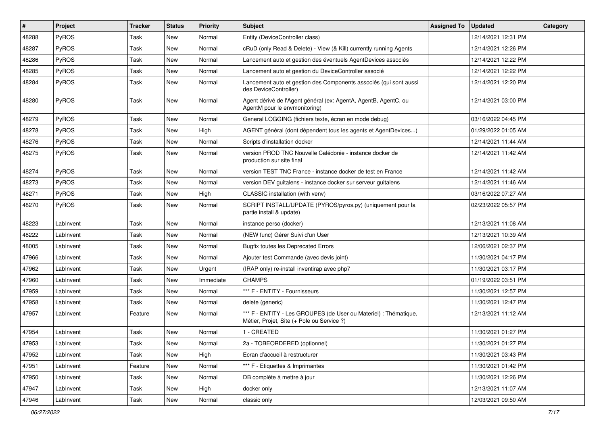| #     | Project      | <b>Tracker</b> | <b>Status</b> | <b>Priority</b> | <b>Subject</b>                                                                                                 | <b>Assigned To</b> | <b>Updated</b>      | Category |
|-------|--------------|----------------|---------------|-----------------|----------------------------------------------------------------------------------------------------------------|--------------------|---------------------|----------|
| 48288 | PyROS        | Task           | New           | Normal          | Entity (DeviceController class)                                                                                |                    | 12/14/2021 12:31 PM |          |
| 48287 | PyROS        | Task           | <b>New</b>    | Normal          | cRuD (only Read & Delete) - View (& Kill) currently running Agents                                             |                    | 12/14/2021 12:26 PM |          |
| 48286 | <b>PyROS</b> | Task           | New           | Normal          | Lancement auto et gestion des éventuels AgentDevices associés                                                  |                    | 12/14/2021 12:22 PM |          |
| 48285 | PyROS        | Task           | New           | Normal          | Lancement auto et gestion du DeviceController associé                                                          |                    | 12/14/2021 12:22 PM |          |
| 48284 | PyROS        | Task           | New           | Normal          | Lancement auto et gestion des Components associés (qui sont aussi<br>des DeviceController)                     |                    | 12/14/2021 12:20 PM |          |
| 48280 | PyROS        | Task           | New           | Normal          | Agent dérivé de l'Agent général (ex: AgentA, AgentB, AgentC, ou<br>AgentM pour le envmonitoring)               |                    | 12/14/2021 03:00 PM |          |
| 48279 | PyROS        | Task           | <b>New</b>    | Normal          | General LOGGING (fichiers texte, écran en mode debug)                                                          |                    | 03/16/2022 04:45 PM |          |
| 48278 | PyROS        | Task           | <b>New</b>    | High            | AGENT général (dont dépendent tous les agents et AgentDevices)                                                 |                    | 01/29/2022 01:05 AM |          |
| 48276 | <b>PyROS</b> | Task           | New           | Normal          | Scripts d'installation docker                                                                                  |                    | 12/14/2021 11:44 AM |          |
| 48275 | PyROS        | Task           | New           | Normal          | version PROD TNC Nouvelle Calédonie - instance docker de<br>production sur site final                          |                    | 12/14/2021 11:42 AM |          |
| 48274 | PyROS        | Task           | <b>New</b>    | Normal          | version TEST TNC France - instance docker de test en France                                                    |                    | 12/14/2021 11:42 AM |          |
| 48273 | PyROS        | Task           | New           | Normal          | version DEV guitalens - instance docker sur serveur guitalens                                                  |                    | 12/14/2021 11:46 AM |          |
| 48271 | PyROS        | Task           | New           | High            | CLASSIC installation (with venv)                                                                               |                    | 03/16/2022 07:27 AM |          |
| 48270 | PyROS        | Task           | New           | Normal          | SCRIPT INSTALL/UPDATE (PYROS/pyros.py) (uniquement pour la<br>partie install & update)                         |                    | 02/23/2022 05:57 PM |          |
| 48223 | LabInvent    | Task           | New           | Normal          | instance perso (docker)                                                                                        |                    | 12/13/2021 11:08 AM |          |
| 48222 | LabInvent    | Task           | New           | Normal          | (NEW func) Gérer Suivi d'un User                                                                               |                    | 12/13/2021 10:39 AM |          |
| 48005 | LabInvent    | Task           | New           | Normal          | <b>Bugfix toutes les Deprecated Errors</b>                                                                     |                    | 12/06/2021 02:37 PM |          |
| 47966 | LabInvent    | Task           | New           | Normal          | Ajouter test Commande (avec devis joint)                                                                       |                    | 11/30/2021 04:17 PM |          |
| 47962 | LabInvent    | Task           | New           | Urgent          | (IRAP only) re-install inventirap avec php7                                                                    |                    | 11/30/2021 03:17 PM |          |
| 47960 | LabInvent    | Task           | New           | Immediate       | <b>CHAMPS</b>                                                                                                  |                    | 01/19/2022 03:51 PM |          |
| 47959 | LabInvent    | Task           | New           | Normal          | *** F - ENTITY - Fournisseurs                                                                                  |                    | 11/30/2021 12:57 PM |          |
| 47958 | LabInvent    | Task           | New           | Normal          | delete (generic)                                                                                               |                    | 11/30/2021 12:47 PM |          |
| 47957 | LabInvent    | Feature        | New           | Normal          | *** F - ENTITY - Les GROUPES (de User ou Materiel) : Thématique,<br>Métier, Projet, Site (+ Pole ou Service ?) |                    | 12/13/2021 11:12 AM |          |
| 47954 | LabInvent    | Task           | New           | Normal          | 1 - CREATED                                                                                                    |                    | 11/30/2021 01:27 PM |          |
| 47953 | LabInvent    | Task           | New           | Normal          | 2a - TOBEORDERED (optionnel)                                                                                   |                    | 11/30/2021 01:27 PM |          |
| 47952 | LabInvent    | Task           | New           | High            | Ecran d'accueil à restructurer                                                                                 |                    | 11/30/2021 03:43 PM |          |
| 47951 | LabInvent    | Feature        | New           | Normal          | *** F - Etiquettes & Imprimantes                                                                               |                    | 11/30/2021 01:42 PM |          |
| 47950 | LabInvent    | Task           | New           | Normal          | DB complète à mettre à jour                                                                                    |                    | 11/30/2021 12:26 PM |          |
| 47947 | LabInvent    | Task           | New           | High            | docker only                                                                                                    |                    | 12/13/2021 11:07 AM |          |
| 47946 | LabInvent    | Task           | New           | Normal          | classic only                                                                                                   |                    | 12/03/2021 09:50 AM |          |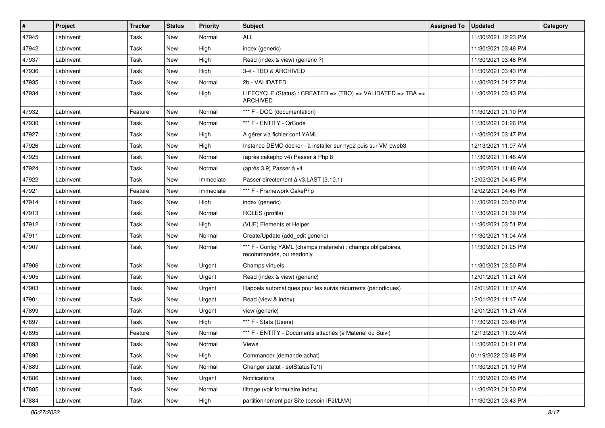| $\sharp$ | Project   | Tracker | <b>Status</b> | <b>Priority</b> | <b>Subject</b>                                                                            | <b>Assigned To</b> | <b>Updated</b>      | Category |
|----------|-----------|---------|---------------|-----------------|-------------------------------------------------------------------------------------------|--------------------|---------------------|----------|
| 47945    | LabInvent | Task    | <b>New</b>    | Normal          | <b>ALL</b>                                                                                |                    | 11/30/2021 12:23 PM |          |
| 47942    | LabInvent | Task    | <b>New</b>    | High            | index (generic)                                                                           |                    | 11/30/2021 03:48 PM |          |
| 47937    | LabInvent | Task    | New           | High            | Read (index & view) (generic ?)                                                           |                    | 11/30/2021 03:48 PM |          |
| 47936    | LabInvent | Task    | New           | High            | 3-4 - TBO & ARCHIVED                                                                      |                    | 11/30/2021 03:43 PM |          |
| 47935    | LabInvent | Task    | <b>New</b>    | Normal          | 2b - VALIDATED                                                                            |                    | 11/30/2021 01:27 PM |          |
| 47934    | LabInvent | Task    | <b>New</b>    | High            | LIFECYCLE (Status) : CREATED => (TBO) => VALIDATED => TBA =><br><b>ARCHIVED</b>           |                    | 11/30/2021 03:43 PM |          |
| 47932    | LabInvent | Feature | New           | Normal          | *** F - DOC (documentation)                                                               |                    | 11/30/2021 01:10 PM |          |
| 47930    | LabInvent | Task    | <b>New</b>    | Normal          | *** F - ENTITY - QrCode                                                                   |                    | 11/30/2021 01:26 PM |          |
| 47927    | LabInvent | Task    | <b>New</b>    | High            | A gérer via fichier conf YAML                                                             |                    | 11/30/2021 03:47 PM |          |
| 47926    | LabInvent | Task    | <b>New</b>    | High            | Instance DEMO docker - à installer sur hyp2 puis sur VM pweb3                             |                    | 12/13/2021 11:07 AM |          |
| 47925    | LabInvent | Task    | <b>New</b>    | Normal          | (après cakephp v4) Passer à Php 8                                                         |                    | 11/30/2021 11:48 AM |          |
| 47924    | LabInvent | Task    | <b>New</b>    | Normal          | (après 3.9) Passer à v4                                                                   |                    | 11/30/2021 11:48 AM |          |
| 47922    | LabInvent | Task    | <b>New</b>    | Immediate       | Passer directement à v3.LAST (3.10.1)                                                     |                    | 12/02/2021 04:45 PM |          |
| 47921    | LabInvent | Feature | <b>New</b>    | Immediate       | *** F - Framework CakePhp                                                                 |                    | 12/02/2021 04:45 PM |          |
| 47914    | LabInvent | Task    | New           | High            | index (generic)                                                                           |                    | 11/30/2021 03:50 PM |          |
| 47913    | LabInvent | Task    | <b>New</b>    | Normal          | ROLES (profils)                                                                           |                    | 11/30/2021 01:39 PM |          |
| 47912    | LabInvent | Task    | <b>New</b>    | High            | (VUE) Elements et Helper                                                                  |                    | 11/30/2021 03:51 PM |          |
| 47911    | LabInvent | Task    | New           | Normal          | Create/Update (add_edit generic)                                                          |                    | 11/30/2021 11:04 AM |          |
| 47907    | LabInvent | Task    | New           | Normal          | *** F - Config YAML (champs materiels) : champs obligatoires,<br>recommandés, ou readonly |                    | 11/30/2021 01:25 PM |          |
| 47906    | LabInvent | Task    | <b>New</b>    | Urgent          | Champs virtuels                                                                           |                    | 11/30/2021 03:50 PM |          |
| 47905    | LabInvent | Task    | <b>New</b>    | Urgent          | Read (index & view) (generic)                                                             |                    | 12/01/2021 11:21 AM |          |
| 47903    | LabInvent | Task    | <b>New</b>    | Urgent          | Rappels automatiques pour les suivis récurrents (périodiques)                             |                    | 12/01/2021 11:17 AM |          |
| 47901    | LabInvent | Task    | <b>New</b>    | Urgent          | Read (view & index)                                                                       |                    | 12/01/2021 11:17 AM |          |
| 47899    | LabInvent | Task    | <b>New</b>    | Urgent          | view (generic)                                                                            |                    | 12/01/2021 11:21 AM |          |
| 47897    | LabInvent | Task    | <b>New</b>    | High            | *** F - Stats (Users)                                                                     |                    | 11/30/2021 03:48 PM |          |
| 47895    | LabInvent | Feature | <b>New</b>    | Normal          | *** F - ENTITY - Documents attachés (à Materiel ou Suivi)                                 |                    | 12/13/2021 11:09 AM |          |
| 47893    | LabInvent | Task    | New           | Normal          | Views                                                                                     |                    | 11/30/2021 01:21 PM |          |
| 47890    | LabInvent | Task    | New           | High            | Commander (demande achat)                                                                 |                    | 01/19/2022 03:48 PM |          |
| 47889    | LabInvent | Task    | New           | Normal          | Changer statut - setStatusTo*()                                                           |                    | 11/30/2021 01:19 PM |          |
| 47886    | LabInvent | Task    | New           | Urgent          | Notifications                                                                             |                    | 11/30/2021 03:45 PM |          |
| 47885    | LabInvent | Task    | New           | Normal          | filtrage (voir formulaire index)                                                          |                    | 11/30/2021 01:30 PM |          |
| 47884    | LabInvent | Task    | New           | High            | partitionnement par Site (besoin IP2I/LMA)                                                |                    | 11/30/2021 03:43 PM |          |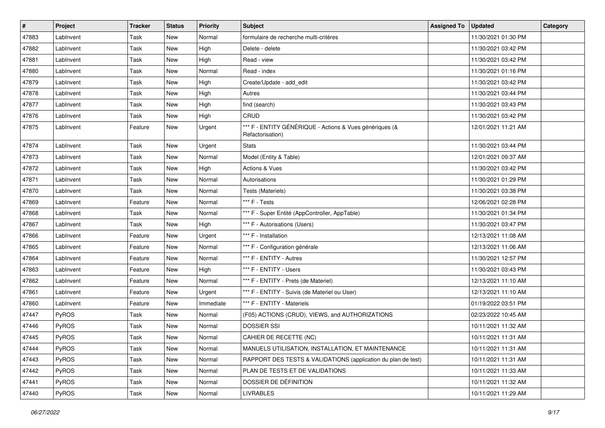| $\vert$ # | Project      | <b>Tracker</b> | <b>Status</b> | <b>Priority</b> | <b>Subject</b>                                                              | <b>Assigned To</b> | <b>Updated</b>      | Category |
|-----------|--------------|----------------|---------------|-----------------|-----------------------------------------------------------------------------|--------------------|---------------------|----------|
| 47883     | LabInvent    | Task           | New           | Normal          | formulaire de recherche multi-critères                                      |                    | 11/30/2021 01:30 PM |          |
| 47882     | LabInvent    | Task           | New           | High            | Delete - delete                                                             |                    | 11/30/2021 03:42 PM |          |
| 47881     | LabInvent    | Task           | New           | High            | Read - view                                                                 |                    | 11/30/2021 03:42 PM |          |
| 47880     | LabInvent    | Task           | New           | Normal          | Read - index                                                                |                    | 11/30/2021 01:16 PM |          |
| 47879     | LabInvent    | Task           | New           | High            | Create/Update - add_edit                                                    |                    | 11/30/2021 03:42 PM |          |
| 47878     | LabInvent    | Task           | New           | High            | Autres                                                                      |                    | 11/30/2021 03:44 PM |          |
| 47877     | LabInvent    | Task           | New           | High            | find (search)                                                               |                    | 11/30/2021 03:43 PM |          |
| 47876     | LabInvent    | Task           | New           | High            | CRUD                                                                        |                    | 11/30/2021 03:42 PM |          |
| 47875     | LabInvent    | Feature        | New           | Urgent          | *** F - ENTITY GÉNÉRIQUE - Actions & Vues génériques (&<br>Refactorisation) |                    | 12/01/2021 11:21 AM |          |
| 47874     | LabInvent    | Task           | New           | Urgent          | <b>Stats</b>                                                                |                    | 11/30/2021 03:44 PM |          |
| 47873     | LabInvent    | Task           | New           | Normal          | Model (Entity & Table)                                                      |                    | 12/01/2021 09:37 AM |          |
| 47872     | LabInvent    | Task           | New           | High            | <b>Actions &amp; Vues</b>                                                   |                    | 11/30/2021 03:42 PM |          |
| 47871     | LabInvent    | Task           | New           | Normal          | Autorisations                                                               |                    | 11/30/2021 01:29 PM |          |
| 47870     | LabInvent    | Task           | New           | Normal          | Tests (Materiels)                                                           |                    | 11/30/2021 03:38 PM |          |
| 47869     | LabInvent    | Feature        | New           | Normal          | *** F - Tests                                                               |                    | 12/06/2021 02:28 PM |          |
| 47868     | LabInvent    | Task           | New           | Normal          | *** F - Super Entité (AppController, AppTable)                              |                    | 11/30/2021 01:34 PM |          |
| 47867     | LabInvent    | Task           | New           | High            | *** F - Autorisations (Users)                                               |                    | 11/30/2021 03:47 PM |          |
| 47866     | LabInvent    | Feature        | New           | Urgent          | *** F - Installation                                                        |                    | 12/13/2021 11:08 AM |          |
| 47865     | LabInvent    | Feature        | New           | Normal          | *** F - Configuration générale                                              |                    | 12/13/2021 11:06 AM |          |
| 47864     | LabInvent    | Feature        | New           | Normal          | *** F - ENTITY - Autres                                                     |                    | 11/30/2021 12:57 PM |          |
| 47863     | LabInvent    | Feature        | New           | High            | *** F - ENTITY - Users                                                      |                    | 11/30/2021 03:43 PM |          |
| 47862     | LabInvent    | Feature        | New           | Normal          | *** F - ENTITY - Prets (de Materiel)                                        |                    | 12/13/2021 11:10 AM |          |
| 47861     | LabInvent    | Feature        | New           | Urgent          | *** F - ENTITY - Suivis (de Materiel ou User)                               |                    | 12/13/2021 11:10 AM |          |
| 47860     | LabInvent    | Feature        | New           | Immediate       | *** F - ENTITY - Materiels                                                  |                    | 01/19/2022 03:51 PM |          |
| 47447     | <b>PyROS</b> | Task           | New           | Normal          | (F05) ACTIONS (CRUD), VIEWS, and AUTHORIZATIONS                             |                    | 02/23/2022 10:45 AM |          |
| 47446     | PyROS        | Task           | New           | Normal          | <b>DOSSIER SSI</b>                                                          |                    | 10/11/2021 11:32 AM |          |
| 47445     | PyROS        | Task           | New           | Normal          | CAHIER DE RECETTE (NC)                                                      |                    | 10/11/2021 11:31 AM |          |
| 47444     | <b>PyROS</b> | Task           | New           | Normal          | MANUELS UTILISATION, INSTALLATION, ET MAINTENANCE                           |                    | 10/11/2021 11:31 AM |          |
| 47443     | PyROS        | Task           | New           | Normal          | RAPPORT DES TESTS & VALIDATIONS (application du plan de test)               |                    | 10/11/2021 11:31 AM |          |
| 47442     | PyROS        | Task           | New           | Normal          | PLAN DE TESTS ET DE VALIDATIONS                                             |                    | 10/11/2021 11:33 AM |          |
| 47441     | PyROS        | Task           | New           | Normal          | DOSSIER DE DÉFINITION                                                       |                    | 10/11/2021 11:32 AM |          |
| 47440     | PyROS        | Task           | New           | Normal          | <b>LIVRABLES</b>                                                            |                    | 10/11/2021 11:29 AM |          |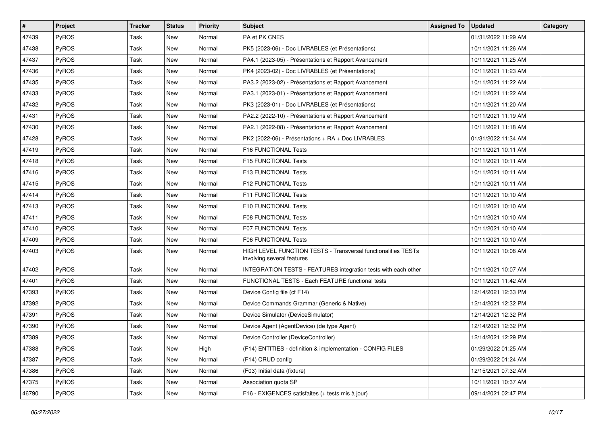| $\vert$ # | Project      | Tracker | <b>Status</b> | <b>Priority</b> | <b>Subject</b>                                                                              | <b>Assigned To</b> | <b>Updated</b>      | Category |
|-----------|--------------|---------|---------------|-----------------|---------------------------------------------------------------------------------------------|--------------------|---------------------|----------|
| 47439     | PyROS        | Task    | New           | Normal          | PA et PK CNES                                                                               |                    | 01/31/2022 11:29 AM |          |
| 47438     | PyROS        | Task    | New           | Normal          | PK5 (2023-06) - Doc LIVRABLES (et Présentations)                                            |                    | 10/11/2021 11:26 AM |          |
| 47437     | <b>PyROS</b> | Task    | New           | Normal          | PA4.1 (2023-05) - Présentations et Rapport Avancement                                       |                    | 10/11/2021 11:25 AM |          |
| 47436     | PyROS        | Task    | New           | Normal          | PK4 (2023-02) - Doc LIVRABLES (et Présentations)                                            |                    | 10/11/2021 11:23 AM |          |
| 47435     | PyROS        | Task    | <b>New</b>    | Normal          | PA3.2 (2023-02) - Présentations et Rapport Avancement                                       |                    | 10/11/2021 11:22 AM |          |
| 47433     | PyROS        | Task    | New           | Normal          | PA3.1 (2023-01) - Présentations et Rapport Avancement                                       |                    | 10/11/2021 11:22 AM |          |
| 47432     | PyROS        | Task    | New           | Normal          | PK3 (2023-01) - Doc LIVRABLES (et Présentations)                                            |                    | 10/11/2021 11:20 AM |          |
| 47431     | <b>PyROS</b> | Task    | New           | Normal          | PA2.2 (2022-10) - Présentations et Rapport Avancement                                       |                    | 10/11/2021 11:19 AM |          |
| 47430     | PyROS        | Task    | New           | Normal          | PA2.1 (2022-08) - Présentations et Rapport Avancement                                       |                    | 10/11/2021 11:18 AM |          |
| 47428     | PyROS        | Task    | New           | Normal          | PK2 (2022-06) - Présentations + RA + Doc LIVRABLES                                          |                    | 01/31/2022 11:34 AM |          |
| 47419     | <b>PyROS</b> | Task    | New           | Normal          | F16 FUNCTIONAL Tests                                                                        |                    | 10/11/2021 10:11 AM |          |
| 47418     | PyROS        | Task    | New           | Normal          | F15 FUNCTIONAL Tests                                                                        |                    | 10/11/2021 10:11 AM |          |
| 47416     | PyROS        | Task    | New           | Normal          | F13 FUNCTIONAL Tests                                                                        |                    | 10/11/2021 10:11 AM |          |
| 47415     | PyROS        | Task    | New           | Normal          | F12 FUNCTIONAL Tests                                                                        |                    | 10/11/2021 10:11 AM |          |
| 47414     | PyROS        | Task    | New           | Normal          | F11 FUNCTIONAL Tests                                                                        |                    | 10/11/2021 10:10 AM |          |
| 47413     | <b>PyROS</b> | Task    | New           | Normal          | F10 FUNCTIONAL Tests                                                                        |                    | 10/11/2021 10:10 AM |          |
| 47411     | PyROS        | Task    | New           | Normal          | F08 FUNCTIONAL Tests                                                                        |                    | 10/11/2021 10:10 AM |          |
| 47410     | PyROS        | Task    | New           | Normal          | <b>F07 FUNCTIONAL Tests</b>                                                                 |                    | 10/11/2021 10:10 AM |          |
| 47409     | PyROS        | Task    | New           | Normal          | F06 FUNCTIONAL Tests                                                                        |                    | 10/11/2021 10:10 AM |          |
| 47403     | PyROS        | Task    | New           | Normal          | HIGH LEVEL FUNCTION TESTS - Transversal functionalities TESTs<br>involving several features |                    | 10/11/2021 10:08 AM |          |
| 47402     | PyROS        | Task    | New           | Normal          | INTEGRATION TESTS - FEATURES integration tests with each other                              |                    | 10/11/2021 10:07 AM |          |
| 47401     | PyROS        | Task    | New           | Normal          | FUNCTIONAL TESTS - Each FEATURE functional tests                                            |                    | 10/11/2021 11:42 AM |          |
| 47393     | <b>PyROS</b> | Task    | New           | Normal          | Device Config file (cf F14)                                                                 |                    | 12/14/2021 12:33 PM |          |
| 47392     | PyROS        | Task    | New           | Normal          | Device Commands Grammar (Generic & Native)                                                  |                    | 12/14/2021 12:32 PM |          |
| 47391     | PyROS        | Task    | New           | Normal          | Device Simulator (DeviceSimulator)                                                          |                    | 12/14/2021 12:32 PM |          |
| 47390     | PyROS        | Task    | <b>New</b>    | Normal          | Device Agent (AgentDevice) (de type Agent)                                                  |                    | 12/14/2021 12:32 PM |          |
| 47389     | PyROS        | Task    | <b>New</b>    | Normal          | Device Controller (DeviceController)                                                        |                    | 12/14/2021 12:29 PM |          |
| 47388     | <b>PyROS</b> | Task    | New           | High            | (F14) ENTITIES - definition & implementation - CONFIG FILES                                 |                    | 01/29/2022 01:25 AM |          |
| 47387     | <b>PyROS</b> | Task    | New           | Normal          | (F14) CRUD config                                                                           |                    | 01/29/2022 01:24 AM |          |
| 47386     | <b>PyROS</b> | Task    | New           | Normal          | (F03) Initial data (fixture)                                                                |                    | 12/15/2021 07:32 AM |          |
| 47375     | <b>PyROS</b> | Task    | New           | Normal          | Association quota SP                                                                        |                    | 10/11/2021 10:37 AM |          |
| 46790     | PyROS        | Task    | New           | Normal          | F16 - EXIGENCES satisfaites (+ tests mis à jour)                                            |                    | 09/14/2021 02:47 PM |          |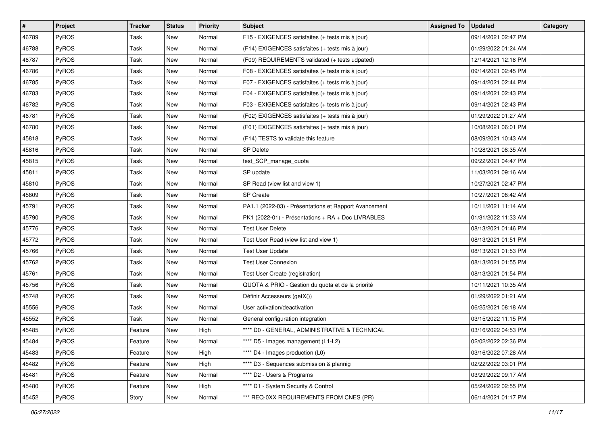| #     | Project      | Tracker | <b>Status</b> | Priority | Subject                                               | <b>Assigned To</b> | <b>Updated</b>      | Category |
|-------|--------------|---------|---------------|----------|-------------------------------------------------------|--------------------|---------------------|----------|
| 46789 | PyROS        | Task    | New           | Normal   | F15 - EXIGENCES satisfaites (+ tests mis à jour)      |                    | 09/14/2021 02:47 PM |          |
| 46788 | PyROS        | Task    | <b>New</b>    | Normal   | (F14) EXIGENCES satisfaites (+ tests mis à jour)      |                    | 01/29/2022 01:24 AM |          |
| 46787 | PyROS        | Task    | New           | Normal   | (F09) REQUIREMENTS validated (+ tests udpated)        |                    | 12/14/2021 12:18 PM |          |
| 46786 | PyROS        | Task    | New           | Normal   | F08 - EXIGENCES satisfaites (+ tests mis à jour)      |                    | 09/14/2021 02:45 PM |          |
| 46785 | PyROS        | Task    | <b>New</b>    | Normal   | F07 - EXIGENCES satisfaites (+ tests mis à jour)      |                    | 09/14/2021 02:44 PM |          |
| 46783 | PyROS        | Task    | New           | Normal   | F04 - EXIGENCES satisfaites (+ tests mis à jour)      |                    | 09/14/2021 02:43 PM |          |
| 46782 | PyROS        | Task    | New           | Normal   | F03 - EXIGENCES satisfaites (+ tests mis à jour)      |                    | 09/14/2021 02:43 PM |          |
| 46781 | PyROS        | Task    | New           | Normal   | (F02) EXIGENCES satisfaites (+ tests mis à jour)      |                    | 01/29/2022 01:27 AM |          |
| 46780 | PyROS        | Task    | New           | Normal   | (F01) EXIGENCES satisfaites (+ tests mis à jour)      |                    | 10/08/2021 06:01 PM |          |
| 45818 | PyROS        | Task    | <b>New</b>    | Normal   | (F14) TESTS to validate this feature                  |                    | 08/09/2021 10:43 AM |          |
| 45816 | <b>PyROS</b> | Task    | New           | Normal   | SP Delete                                             |                    | 10/28/2021 08:35 AM |          |
| 45815 | PyROS        | Task    | New           | Normal   | test_SCP_manage_quota                                 |                    | 09/22/2021 04:47 PM |          |
| 45811 | PyROS        | Task    | New           | Normal   | SP update                                             |                    | 11/03/2021 09:16 AM |          |
| 45810 | PyROS        | Task    | New           | Normal   | SP Read (view list and view 1)                        |                    | 10/27/2021 02:47 PM |          |
| 45809 | PyROS        | Task    | <b>New</b>    | Normal   | <b>SP</b> Create                                      |                    | 10/27/2021 08:42 AM |          |
| 45791 | PyROS        | Task    | New           | Normal   | PA1.1 (2022-03) - Présentations et Rapport Avancement |                    | 10/11/2021 11:14 AM |          |
| 45790 | PyROS        | Task    | New           | Normal   | PK1 (2022-01) - Présentations + RA + Doc LIVRABLES    |                    | 01/31/2022 11:33 AM |          |
| 45776 | PyROS        | Task    | New           | Normal   | <b>Test User Delete</b>                               |                    | 08/13/2021 01:46 PM |          |
| 45772 | PyROS        | Task    | New           | Normal   | Test User Read (view list and view 1)                 |                    | 08/13/2021 01:51 PM |          |
| 45766 | PyROS        | Task    | New           | Normal   | <b>Test User Update</b>                               |                    | 08/13/2021 01:53 PM |          |
| 45762 | PyROS        | Task    | New           | Normal   | <b>Test User Connexion</b>                            |                    | 08/13/2021 01:55 PM |          |
| 45761 | PyROS        | Task    | New           | Normal   | Test User Create (registration)                       |                    | 08/13/2021 01:54 PM |          |
| 45756 | PyROS        | Task    | <b>New</b>    | Normal   | QUOTA & PRIO - Gestion du quota et de la priorité     |                    | 10/11/2021 10:35 AM |          |
| 45748 | PyROS        | Task    | New           | Normal   | Définir Accesseurs (getX())                           |                    | 01/29/2022 01:21 AM |          |
| 45556 | PyROS        | Task    | New           | Normal   | User activation/deactivation                          |                    | 06/25/2021 08:18 AM |          |
| 45552 | <b>PyROS</b> | Task    | New           | Normal   | General configuration integration                     |                    | 03/15/2022 11:15 PM |          |
| 45485 | PyROS        | Feature | New           | High     | **** D0 - GENERAL, ADMINISTRATIVE & TECHNICAL         |                    | 03/16/2022 04:53 PM |          |
| 45484 | PyROS        | Feature | New           | Normal   | **** D5 - Images management (L1-L2)                   |                    | 02/02/2022 02:36 PM |          |
| 45483 | <b>PyROS</b> | Feature | New           | High     | **** D4 - Images production (L0)                      |                    | 03/16/2022 07:28 AM |          |
| 45482 | PyROS        | Feature | New           | High     | **** D3 - Sequences submission & plannig              |                    | 02/22/2022 03:01 PM |          |
| 45481 | PyROS        | Feature | New           | Normal   | **** D2 - Users & Programs                            |                    | 03/29/2022 09:17 AM |          |
| 45480 | PyROS        | Feature | New           | High     | **** D1 - System Security & Control                   |                    | 05/24/2022 02:55 PM |          |
| 45452 | PyROS        | Story   | New           | Normal   | *** REQ-0XX REQUIREMENTS FROM CNES (PR)               |                    | 06/14/2021 01:17 PM |          |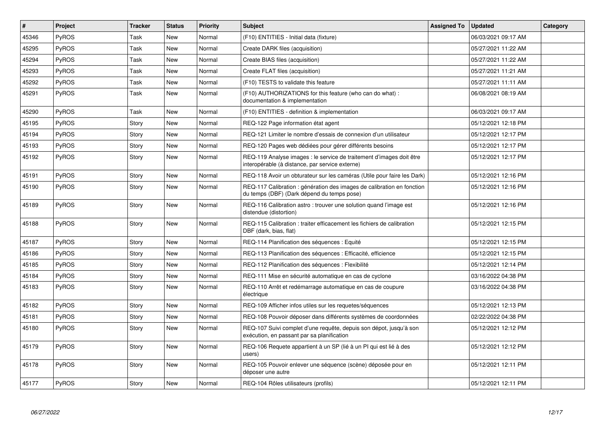| $\vert$ # | Project      | <b>Tracker</b> | <b>Status</b> | <b>Priority</b> | <b>Subject</b>                                                                                                          | <b>Assigned To</b> | <b>Updated</b>      | Category |
|-----------|--------------|----------------|---------------|-----------------|-------------------------------------------------------------------------------------------------------------------------|--------------------|---------------------|----------|
| 45346     | PyROS        | Task           | <b>New</b>    | Normal          | (F10) ENTITIES - Initial data (fixture)                                                                                 |                    | 06/03/2021 09:17 AM |          |
| 45295     | PyROS        | Task           | <b>New</b>    | Normal          | Create DARK files (acquisition)                                                                                         |                    | 05/27/2021 11:22 AM |          |
| 45294     | PyROS        | Task           | <b>New</b>    | Normal          | Create BIAS files (acquisition)                                                                                         |                    | 05/27/2021 11:22 AM |          |
| 45293     | <b>PyROS</b> | Task           | <b>New</b>    | Normal          | Create FLAT files (acquisition)                                                                                         |                    | 05/27/2021 11:21 AM |          |
| 45292     | PyROS        | Task           | <b>New</b>    | Normal          | (F10) TESTS to validate this feature                                                                                    |                    | 05/27/2021 11:11 AM |          |
| 45291     | PyROS        | Task           | New           | Normal          | (F10) AUTHORIZATIONS for this feature (who can do what) :<br>documentation & implementation                             |                    | 06/08/2021 08:19 AM |          |
| 45290     | PyROS        | Task           | <b>New</b>    | Normal          | (F10) ENTITIES - definition & implementation                                                                            |                    | 06/03/2021 09:17 AM |          |
| 45195     | PyROS        | Story          | New           | Normal          | REQ-122 Page information état agent                                                                                     |                    | 05/12/2021 12:18 PM |          |
| 45194     | <b>PyROS</b> | Story          | New           | Normal          | REQ-121 Limiter le nombre d'essais de connexion d'un utilisateur                                                        |                    | 05/12/2021 12:17 PM |          |
| 45193     | PyROS        | Story          | New           | Normal          | REQ-120 Pages web dédiées pour gérer différents besoins                                                                 |                    | 05/12/2021 12:17 PM |          |
| 45192     | PyROS        | Story          | New           | Normal          | REQ-119 Analyse images : le service de traitement d'images doit être<br>interopérable (à distance, par service externe) |                    | 05/12/2021 12:17 PM |          |
| 45191     | PyROS        | Story          | <b>New</b>    | Normal          | REQ-118 Avoir un obturateur sur les caméras (Utile pour faire les Dark)                                                 |                    | 05/12/2021 12:16 PM |          |
| 45190     | PyROS        | Story          | New           | Normal          | REQ-117 Calibration : génération des images de calibration en fonction<br>du temps (DBF) (Dark dépend du temps pose)    |                    | 05/12/2021 12:16 PM |          |
| 45189     | PyROS        | Story          | <b>New</b>    | Normal          | REQ-116 Calibration astro: trouver une solution quand l'image est<br>distendue (distortion)                             |                    | 05/12/2021 12:16 PM |          |
| 45188     | <b>PyROS</b> | Story          | New           | Normal          | REQ-115 Calibration : traiter efficacement les fichiers de calibration<br>DBF (dark, bias, flat)                        |                    | 05/12/2021 12:15 PM |          |
| 45187     | PyROS        | Story          | <b>New</b>    | Normal          | REQ-114 Planification des séquences : Equité                                                                            |                    | 05/12/2021 12:15 PM |          |
| 45186     | <b>PyROS</b> | Story          | New           | Normal          | REQ-113 Planification des séquences : Efficacité, efficience                                                            |                    | 05/12/2021 12:15 PM |          |
| 45185     | PyROS        | Story          | <b>New</b>    | Normal          | REQ-112 Planification des séquences : Flexibilité                                                                       |                    | 05/12/2021 12:14 PM |          |
| 45184     | <b>PyROS</b> | Story          | <b>New</b>    | Normal          | REQ-111 Mise en sécurité automatique en cas de cyclone                                                                  |                    | 03/16/2022 04:38 PM |          |
| 45183     | PyROS        | Story          | <b>New</b>    | Normal          | REQ-110 Arrêt et redémarrage automatique en cas de coupure<br>électrique                                                |                    | 03/16/2022 04:38 PM |          |
| 45182     | PyROS        | Story          | <b>New</b>    | Normal          | REQ-109 Afficher infos utiles sur les requetes/séquences                                                                |                    | 05/12/2021 12:13 PM |          |
| 45181     | PyROS        | Story          | <b>New</b>    | Normal          | REQ-108 Pouvoir déposer dans différents systèmes de coordonnées                                                         |                    | 02/22/2022 04:38 PM |          |
| 45180     | PyROS        | Story          | New           | Normal          | REQ-107 Suivi complet d'une requête, depuis son dépot, jusqu'à son<br>exécution, en passant par sa planification        |                    | 05/12/2021 12:12 PM |          |
| 45179     | PyROS        | Story          | <b>New</b>    | Normal          | REQ-106 Requete appartient à un SP (lié à un PI qui est lié à des<br>users)                                             |                    | 05/12/2021 12:12 PM |          |
| 45178     | PyROS        | Story          | New           | Normal          | REQ-105 Pouvoir enlever une séquence (scène) déposée pour en<br>déposer une autre                                       |                    | 05/12/2021 12:11 PM |          |
| 45177     | PyROS        | Story          | <b>New</b>    | Normal          | REQ-104 Rôles utilisateurs (profils)                                                                                    |                    | 05/12/2021 12:11 PM |          |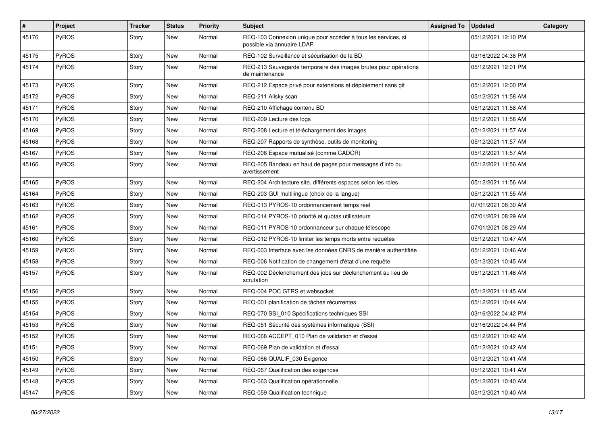| #     | Project | Tracker | <b>Status</b> | <b>Priority</b> | <b>Subject</b>                                                                              | <b>Assigned To</b> | <b>Updated</b>      | Category |
|-------|---------|---------|---------------|-----------------|---------------------------------------------------------------------------------------------|--------------------|---------------------|----------|
| 45176 | PyROS   | Story   | New           | Normal          | REQ-103 Connexion unique pour accéder à tous les services, si<br>possible via annuaire LDAP |                    | 05/12/2021 12:10 PM |          |
| 45175 | PyROS   | Story   | New           | Normal          | REQ-102 Surveillance et sécurisation de la BD                                               |                    | 03/16/2022 04:38 PM |          |
| 45174 | PyROS   | Story   | New           | Normal          | REQ-213 Sauvegarde temporaire des images brutes pour opérations<br>de maintenance           |                    | 05/12/2021 12:01 PM |          |
| 45173 | PyROS   | Story   | New           | Normal          | REQ-212 Espace privé pour extensions et déploiement sans git                                |                    | 05/12/2021 12:00 PM |          |
| 45172 | PyROS   | Story   | New           | Normal          | REQ-211 Allsky scan                                                                         |                    | 05/12/2021 11:58 AM |          |
| 45171 | PyROS   | Story   | New           | Normal          | REQ-210 Affichage contenu BD                                                                |                    | 05/12/2021 11:58 AM |          |
| 45170 | PyROS   | Story   | New           | Normal          | REQ-209 Lecture des logs                                                                    |                    | 05/12/2021 11:58 AM |          |
| 45169 | PyROS   | Story   | <b>New</b>    | Normal          | REQ-208 Lecture et téléchargement des images                                                |                    | 05/12/2021 11:57 AM |          |
| 45168 | PyROS   | Story   | New           | Normal          | REQ-207 Rapports de synthèse, outils de monitoring                                          |                    | 05/12/2021 11:57 AM |          |
| 45167 | PyROS   | Story   | New           | Normal          | REQ-206 Espace mutualisé (comme CADOR)                                                      |                    | 05/12/2021 11:57 AM |          |
| 45166 | PyROS   | Story   | New           | Normal          | REQ-205 Bandeau en haut de pages pour messages d'info ou<br>avertissement                   |                    | 05/12/2021 11:56 AM |          |
| 45165 | PyROS   | Story   | <b>New</b>    | Normal          | REQ-204 Architecture site, différents espaces selon les roles                               |                    | 05/12/2021 11:56 AM |          |
| 45164 | PyROS   | Story   | New           | Normal          | REQ-203 GUI multilingue (choix de la langue)                                                |                    | 05/12/2021 11:55 AM |          |
| 45163 | PyROS   | Story   | New           | Normal          | REQ-013 PYROS-10 ordonnancement temps réel                                                  |                    | 07/01/2021 08:30 AM |          |
| 45162 | PyROS   | Story   | <b>New</b>    | Normal          | REQ-014 PYROS-10 priorité et quotas utilisateurs                                            |                    | 07/01/2021 08:29 AM |          |
| 45161 | PyROS   | Story   | New           | Normal          | REQ-011 PYROS-10 ordonnanceur sur chaque télescope                                          |                    | 07/01/2021 08:29 AM |          |
| 45160 | PyROS   | Story   | New           | Normal          | REQ-012 PYROS-10 limiter les temps morts entre requêtes                                     |                    | 05/12/2021 10:47 AM |          |
| 45159 | PyROS   | Story   | New           | Normal          | REQ-003 Interface avec les données CNRS de manière authentifiée                             |                    | 05/12/2021 10:46 AM |          |
| 45158 | PyROS   | Story   | <b>New</b>    | Normal          | REQ-006 Notification de changement d'état d'une requête                                     |                    | 05/12/2021 10:45 AM |          |
| 45157 | PyROS   | Story   | New           | Normal          | REQ-002 Déclenchement des jobs sur déclenchement au lieu de<br>scrutation                   |                    | 05/12/2021 11:46 AM |          |
| 45156 | PyROS   | Story   | New           | Normal          | REQ-004 POC GTRS et websocket                                                               |                    | 05/12/2021 11:45 AM |          |
| 45155 | PyROS   | Story   | <b>New</b>    | Normal          | REQ-001 planification de tâches récurrentes                                                 |                    | 05/12/2021 10:44 AM |          |
| 45154 | PyROS   | Story   | <b>New</b>    | Normal          | REQ-070 SSI_010 Spécifications techniques SSI                                               |                    | 03/16/2022 04:42 PM |          |
| 45153 | PyROS   | Story   | <b>New</b>    | Normal          | REQ-051 Sécurité des systèmes informatique (SSI)                                            |                    | 03/16/2022 04:44 PM |          |
| 45152 | PyROS   | Story   | New           | Normal          | REQ-068 ACCEPT_010 Plan de validation et d'essai                                            |                    | 05/12/2021 10:42 AM |          |
| 45151 | PyROS   | Story   | New           | Normal          | REQ-069 Plan de validation et d'essai                                                       |                    | 05/12/2021 10:42 AM |          |
| 45150 | PyROS   | Story   | New           | Normal          | REQ-066 QUALIF_030 Exigence                                                                 |                    | 05/12/2021 10:41 AM |          |
| 45149 | PyROS   | Story   | New           | Normal          | REQ-067 Qualification des exigences                                                         |                    | 05/12/2021 10:41 AM |          |
| 45148 | PyROS   | Story   | New           | Normal          | REQ-063 Qualification opérationnelle                                                        |                    | 05/12/2021 10:40 AM |          |
| 45147 | PyROS   | Story   | New           | Normal          | REQ-059 Qualification technique                                                             |                    | 05/12/2021 10:40 AM |          |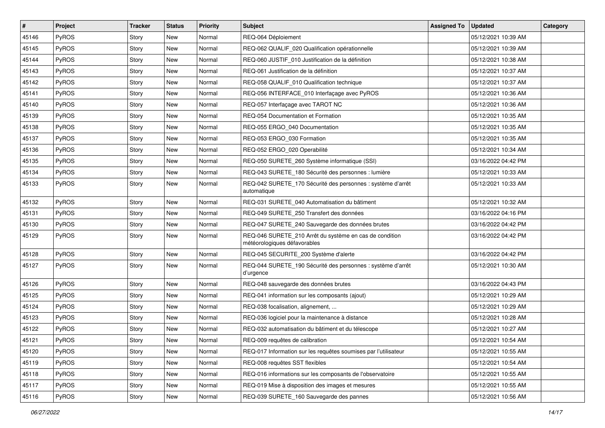| $\vert$ # | Project      | Tracker | <b>Status</b> | <b>Priority</b> | Subject                                                                                 | <b>Assigned To</b> | <b>Updated</b>      | Category |
|-----------|--------------|---------|---------------|-----------------|-----------------------------------------------------------------------------------------|--------------------|---------------------|----------|
| 45146     | PyROS        | Story   | New           | Normal          | REQ-064 Déploiement                                                                     |                    | 05/12/2021 10:39 AM |          |
| 45145     | PyROS        | Story   | New           | Normal          | REQ-062 QUALIF_020 Qualification opérationnelle                                         |                    | 05/12/2021 10:39 AM |          |
| 45144     | <b>PyROS</b> | Story   | New           | Normal          | REQ-060 JUSTIF_010 Justification de la définition                                       |                    | 05/12/2021 10:38 AM |          |
| 45143     | PyROS        | Story   | New           | Normal          | REQ-061 Justification de la définition                                                  |                    | 05/12/2021 10:37 AM |          |
| 45142     | PyROS        | Story   | <b>New</b>    | Normal          | REQ-058 QUALIF_010 Qualification technique                                              |                    | 05/12/2021 10:37 AM |          |
| 45141     | PyROS        | Story   | New           | Normal          | REQ-056 INTERFACE_010 Interfaçage avec PyROS                                            |                    | 05/12/2021 10:36 AM |          |
| 45140     | PyROS        | Story   | New           | Normal          | REQ-057 Interfaçage avec TAROT NC                                                       |                    | 05/12/2021 10:36 AM |          |
| 45139     | <b>PyROS</b> | Story   | New           | Normal          | REQ-054 Documentation et Formation                                                      |                    | 05/12/2021 10:35 AM |          |
| 45138     | PyROS        | Story   | New           | Normal          | REQ-055 ERGO 040 Documentation                                                          |                    | 05/12/2021 10:35 AM |          |
| 45137     | PyROS        | Story   | <b>New</b>    | Normal          | REQ-053 ERGO_030 Formation                                                              |                    | 05/12/2021 10:35 AM |          |
| 45136     | <b>PyROS</b> | Story   | New           | Normal          | REQ-052 ERGO_020 Operabilité                                                            |                    | 05/12/2021 10:34 AM |          |
| 45135     | PyROS        | Story   | New           | Normal          | REQ-050 SURETE_260 Système informatique (SSI)                                           |                    | 03/16/2022 04:42 PM |          |
| 45134     | PyROS        | Story   | New           | Normal          | REQ-043 SURETE_180 Sécurité des personnes : lumière                                     |                    | 05/12/2021 10:33 AM |          |
| 45133     | PyROS        | Story   | New           | Normal          | REQ-042 SURETE_170 Sécurité des personnes : système d'arrêt<br>automatique              |                    | 05/12/2021 10:33 AM |          |
| 45132     | PyROS        | Story   | New           | Normal          | REQ-031 SURETE 040 Automatisation du bâtiment                                           |                    | 05/12/2021 10:32 AM |          |
| 45131     | PyROS        | Story   | New           | Normal          | REQ-049 SURETE_250 Transfert des données                                                |                    | 03/16/2022 04:16 PM |          |
| 45130     | PyROS        | Story   | <b>New</b>    | Normal          | REQ-047 SURETE_240 Sauvegarde des données brutes                                        |                    | 03/16/2022 04:42 PM |          |
| 45129     | PyROS        | Story   | New           | Normal          | REQ-046 SURETE_210 Arrêt du système en cas de condition<br>météorologiques défavorables |                    | 03/16/2022 04:42 PM |          |
| 45128     | PyROS        | Story   | New           | Normal          | REQ-045 SECURITE_200 Système d'alerte                                                   |                    | 03/16/2022 04:42 PM |          |
| 45127     | PyROS        | Story   | New           | Normal          | REQ-044 SURETE_190 Sécurité des personnes : système d'arrêt<br>d'urgence                |                    | 05/12/2021 10:30 AM |          |
| 45126     | PyROS        | Story   | New           | Normal          | REQ-048 sauvegarde des données brutes                                                   |                    | 03/16/2022 04:43 PM |          |
| 45125     | PyROS        | Story   | New           | Normal          | REQ-041 information sur les composants (ajout)                                          |                    | 05/12/2021 10:29 AM |          |
| 45124     | PyROS        | Story   | New           | Normal          | REQ-038 focalisation, alignement,                                                       |                    | 05/12/2021 10:29 AM |          |
| 45123     | PyROS        | Story   | New           | Normal          | REQ-036 logiciel pour la maintenance à distance                                         |                    | 05/12/2021 10:28 AM |          |
| 45122     | PyROS        | Story   | New           | Normal          | REQ-032 automatisation du bâtiment et du télescope                                      |                    | 05/12/2021 10:27 AM |          |
| 45121     | PyROS        | Story   | New           | Normal          | REQ-009 requêtes de calibration                                                         |                    | 05/12/2021 10:54 AM |          |
| 45120     | <b>PyROS</b> | Story   | New           | Normal          | REQ-017 Information sur les requêtes soumises par l'utilisateur                         |                    | 05/12/2021 10:55 AM |          |
| 45119     | PyROS        | Story   | New           | Normal          | REQ-008 requêtes SST flexibles                                                          |                    | 05/12/2021 10:54 AM |          |
| 45118     | PyROS        | Story   | New           | Normal          | REQ-016 informations sur les composants de l'observatoire                               |                    | 05/12/2021 10:55 AM |          |
| 45117     | PyROS        | Story   | New           | Normal          | REQ-019 Mise à disposition des images et mesures                                        |                    | 05/12/2021 10:55 AM |          |
| 45116     | PyROS        | Story   | New           | Normal          | REQ-039 SURETE_160 Sauvegarde des pannes                                                |                    | 05/12/2021 10:56 AM |          |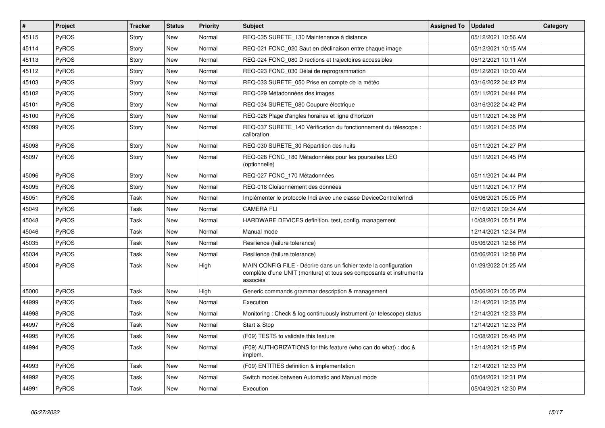| $\vert$ # | Project      | <b>Tracker</b> | <b>Status</b> | <b>Priority</b> | <b>Subject</b>                                                                                                                                       | <b>Assigned To</b> | <b>Updated</b>      | Category |
|-----------|--------------|----------------|---------------|-----------------|------------------------------------------------------------------------------------------------------------------------------------------------------|--------------------|---------------------|----------|
| 45115     | <b>PyROS</b> | Story          | New           | Normal          | REQ-035 SURETE_130 Maintenance à distance                                                                                                            |                    | 05/12/2021 10:56 AM |          |
| 45114     | PyROS        | Story          | New           | Normal          | REQ-021 FONC 020 Saut en déclinaison entre chaque image                                                                                              |                    | 05/12/2021 10:15 AM |          |
| 45113     | PyROS        | Story          | New           | Normal          | REQ-024 FONC 080 Directions et trajectoires accessibles                                                                                              |                    | 05/12/2021 10:11 AM |          |
| 45112     | <b>PyROS</b> | Story          | New           | Normal          | REQ-023 FONC_030 Délai de reprogrammation                                                                                                            |                    | 05/12/2021 10:00 AM |          |
| 45103     | <b>PyROS</b> | Story          | New           | Normal          | REQ-033 SURETE 050 Prise en compte de la météo                                                                                                       |                    | 03/16/2022 04:42 PM |          |
| 45102     | <b>PyROS</b> | Story          | New           | Normal          | REQ-029 Métadonnées des images                                                                                                                       |                    | 05/11/2021 04:44 PM |          |
| 45101     | <b>PyROS</b> | Story          | New           | Normal          | REQ-034 SURETE 080 Coupure électrique                                                                                                                |                    | 03/16/2022 04:42 PM |          |
| 45100     | <b>PyROS</b> | Story          | New           | Normal          | REQ-026 Plage d'angles horaires et ligne d'horizon                                                                                                   |                    | 05/11/2021 04:38 PM |          |
| 45099     | PyROS        | Story          | <b>New</b>    | Normal          | REQ-037 SURETE_140 Vérification du fonctionnement du télescope :<br>calibration                                                                      |                    | 05/11/2021 04:35 PM |          |
| 45098     | <b>PyROS</b> | Story          | New           | Normal          | REQ-030 SURETE_30 Répartition des nuits                                                                                                              |                    | 05/11/2021 04:27 PM |          |
| 45097     | <b>PyROS</b> | Story          | New           | Normal          | REQ-028 FONC_180 Métadonnées pour les poursuites LEO<br>(optionnelle)                                                                                |                    | 05/11/2021 04:45 PM |          |
| 45096     | PyROS        | Story          | <b>New</b>    | Normal          | REQ-027 FONC_170 Métadonnées                                                                                                                         |                    | 05/11/2021 04:44 PM |          |
| 45095     | PyROS        | Story          | New           | Normal          | REQ-018 Cloisonnement des données                                                                                                                    |                    | 05/11/2021 04:17 PM |          |
| 45051     | PyROS        | Task           | New           | Normal          | Implémenter le protocole Indi avec une classe DeviceControllerIndi                                                                                   |                    | 05/06/2021 05:05 PM |          |
| 45049     | PyROS        | Task           | <b>New</b>    | Normal          | <b>CAMERA FLI</b>                                                                                                                                    |                    | 07/16/2021 09:34 AM |          |
| 45048     | <b>PyROS</b> | Task           | <b>New</b>    | Normal          | HARDWARE DEVICES definition, test, config, management                                                                                                |                    | 10/08/2021 05:51 PM |          |
| 45046     | <b>PyROS</b> | Task           | <b>New</b>    | Normal          | Manual mode                                                                                                                                          |                    | 12/14/2021 12:34 PM |          |
| 45035     | PyROS        | Task           | <b>New</b>    | Normal          | Resilience (failure tolerance)                                                                                                                       |                    | 05/06/2021 12:58 PM |          |
| 45034     | PyROS        | Task           | <b>New</b>    | Normal          | Resilience (failure tolerance)                                                                                                                       |                    | 05/06/2021 12:58 PM |          |
| 45004     | PyROS        | Task           | New           | High            | MAIN CONFIG FILE - Décrire dans un fichier texte la configuration<br>complète d'une UNIT (monture) et tous ses composants et instruments<br>associés |                    | 01/29/2022 01:25 AM |          |
| 45000     | PyROS        | Task           | New           | High            | Generic commands grammar description & management                                                                                                    |                    | 05/06/2021 05:05 PM |          |
| 44999     | PyROS        | Task           | New           | Normal          | Execution                                                                                                                                            |                    | 12/14/2021 12:35 PM |          |
| 44998     | PyROS        | Task           | <b>New</b>    | Normal          | Monitoring: Check & log continuously instrument (or telescope) status                                                                                |                    | 12/14/2021 12:33 PM |          |
| 44997     | PyROS        | Task           | <b>New</b>    | Normal          | Start & Stop                                                                                                                                         |                    | 12/14/2021 12:33 PM |          |
| 44995     | PyROS        | Task           | <b>New</b>    | Normal          | (F09) TESTS to validate this feature                                                                                                                 |                    | 10/08/2021 05:45 PM |          |
| 44994     | PyROS        | Task           | <b>New</b>    | Normal          | (F09) AUTHORIZATIONS for this feature (who can do what) : doc &<br>implem.                                                                           |                    | 12/14/2021 12:15 PM |          |
| 44993     | PyROS        | Task           | <b>New</b>    | Normal          | (F09) ENTITIES definition & implementation                                                                                                           |                    | 12/14/2021 12:33 PM |          |
| 44992     | PyROS        | Task           | New           | Normal          | Switch modes between Automatic and Manual mode                                                                                                       |                    | 05/04/2021 12:31 PM |          |
| 44991     | PyROS        | Task           | <b>New</b>    | Normal          | Execution                                                                                                                                            |                    | 05/04/2021 12:30 PM |          |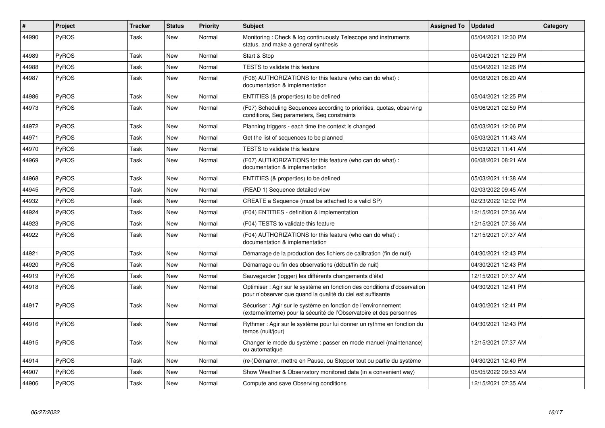| $\#$  | Project      | <b>Tracker</b> | <b>Status</b> | <b>Priority</b> | <b>Subject</b>                                                                                                                          | <b>Assigned To</b> | <b>Updated</b>      | Category |
|-------|--------------|----------------|---------------|-----------------|-----------------------------------------------------------------------------------------------------------------------------------------|--------------------|---------------------|----------|
| 44990 | PyROS        | Task           | <b>New</b>    | Normal          | Monitoring: Check & log continuously Telescope and instruments<br>status, and make a general synthesis                                  |                    | 05/04/2021 12:30 PM |          |
| 44989 | PyROS        | Task           | New           | Normal          | Start & Stop                                                                                                                            |                    | 05/04/2021 12:29 PM |          |
| 44988 | PyROS        | Task           | New           | Normal          | TESTS to validate this feature                                                                                                          |                    | 05/04/2021 12:26 PM |          |
| 44987 | <b>PyROS</b> | Task           | New           | Normal          | (F08) AUTHORIZATIONS for this feature (who can do what) :<br>documentation & implementation                                             |                    | 06/08/2021 08:20 AM |          |
| 44986 | PyROS        | Task           | New           | Normal          | ENTITIES (& properties) to be defined                                                                                                   |                    | 05/04/2021 12:25 PM |          |
| 44973 | <b>PyROS</b> | Task           | New           | Normal          | (F07) Scheduling Sequences according to priorities, quotas, observing<br>conditions, Seg parameters, Seg constraints                    |                    | 05/06/2021 02:59 PM |          |
| 44972 | PyROS        | Task           | New           | Normal          | Planning triggers - each time the context is changed                                                                                    |                    | 05/03/2021 12:06 PM |          |
| 44971 | PyROS        | Task           | New           | Normal          | Get the list of sequences to be planned                                                                                                 |                    | 05/03/2021 11:43 AM |          |
| 44970 | PyROS        | Task           | New           | Normal          | TESTS to validate this feature                                                                                                          |                    | 05/03/2021 11:41 AM |          |
| 44969 | <b>PyROS</b> | Task           | <b>New</b>    | Normal          | (F07) AUTHORIZATIONS for this feature (who can do what) :<br>documentation & implementation                                             |                    | 06/08/2021 08:21 AM |          |
| 44968 | PyROS        | Task           | <b>New</b>    | Normal          | ENTITIES (& properties) to be defined                                                                                                   |                    | 05/03/2021 11:38 AM |          |
| 44945 | PyROS        | Task           | New           | Normal          | (READ 1) Sequence detailed view                                                                                                         |                    | 02/03/2022 09:45 AM |          |
| 44932 | PyROS        | Task           | <b>New</b>    | Normal          | CREATE a Sequence (must be attached to a valid SP)                                                                                      |                    | 02/23/2022 12:02 PM |          |
| 44924 | PyROS        | Task           | New           | Normal          | (F04) ENTITIES - definition & implementation                                                                                            |                    | 12/15/2021 07:36 AM |          |
| 44923 | PyROS        | Task           | New           | Normal          | (F04) TESTS to validate this feature                                                                                                    |                    | 12/15/2021 07:36 AM |          |
| 44922 | PyROS        | Task           | New           | Normal          | (F04) AUTHORIZATIONS for this feature (who can do what) :<br>documentation & implementation                                             |                    | 12/15/2021 07:37 AM |          |
| 44921 | PyROS        | Task           | New           | Normal          | Démarrage de la production des fichiers de calibration (fin de nuit)                                                                    |                    | 04/30/2021 12:43 PM |          |
| 44920 | PyROS        | Task           | New           | Normal          | Démarrage ou fin des observations (début/fin de nuit)                                                                                   |                    | 04/30/2021 12:43 PM |          |
| 44919 | PyROS        | Task           | New           | Normal          | Sauvegarder (logger) les différents changements d'état                                                                                  |                    | 12/15/2021 07:37 AM |          |
| 44918 | PyROS        | Task           | New           | Normal          | Optimiser : Agir sur le système en fonction des conditions d'observation<br>pour n'observer que quand la qualité du ciel est suffisante |                    | 04/30/2021 12:41 PM |          |
| 44917 | PyROS        | Task           | New           | Normal          | Sécuriser : Agir sur le système en fonction de l'environnement<br>(externe/interne) pour la sécurité de l'Observatoire et des personnes |                    | 04/30/2021 12:41 PM |          |
| 44916 | PyROS        | Task           | <b>New</b>    | Normal          | Rythmer : Agir sur le système pour lui donner un rythme en fonction du<br>temps (nuit/jour)                                             |                    | 04/30/2021 12:43 PM |          |
| 44915 | PyROS        | Task           | New           | Normal          | Changer le mode du système : passer en mode manuel (maintenance)<br>ou automatique                                                      |                    | 12/15/2021 07:37 AM |          |
| 44914 | PyROS        | Task           | New           | Normal          | (re-)Démarrer, mettre en Pause, ou Stopper tout ou partie du système                                                                    |                    | 04/30/2021 12:40 PM |          |
| 44907 | PyROS        | Task           | New           | Normal          | Show Weather & Observatory monitored data (in a convenient way)                                                                         |                    | 05/05/2022 09:53 AM |          |
| 44906 | PyROS        | Task           | <b>New</b>    | Normal          | Compute and save Observing conditions                                                                                                   |                    | 12/15/2021 07:35 AM |          |